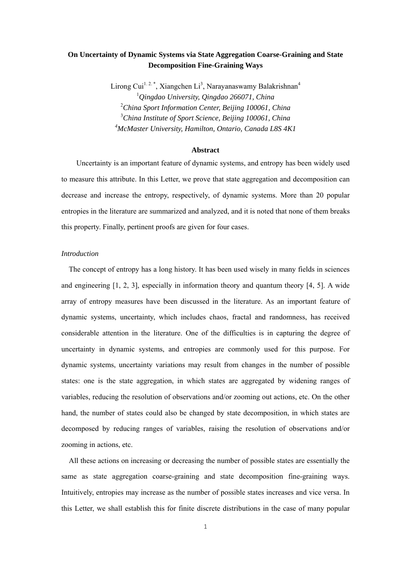# **On Uncertainty of Dynamic Systems via State Aggregation Coarse-Graining and State Decomposition Fine-Graining Ways**

Lirong Cui<sup>1.2.\*</sup>, Xiangchen Li<sup>3</sup>, Narayanaswamy Balakrishnan<sup>4</sup> *Qingdao University, Qingdao 266071, China China Sport Information Center, Beijing 100061, China China Institute of Sport Science, Beijing 100061, China McMaster University, Hamilton, Ontario, Canada L8S 4K1*

#### **Abstract**

Uncertainty is an important feature of dynamic systems, and entropy has been widely used to measure this attribute. In this Letter, we prove that state aggregation and decomposition can decrease and increase the entropy, respectively, of dynamic systems. More than 20 popular entropies in the literature are summarized and analyzed, and it is noted that none of them breaks this property. Finally, pertinent proofs are given for four cases.

#### *Introduction*

The concept of entropy has a long history. It has been used wisely in many fields in sciences and engineering [1, 2, 3], especially in information theory and quantum theory [4, 5]. A wide array of entropy measures have been discussed in the literature. As an important feature of dynamic systems, uncertainty, which includes chaos, fractal and randomness, has received considerable attention in the literature. One of the difficulties is in capturing the degree of uncertainty in dynamic systems, and entropies are commonly used for this purpose. For dynamic systems, uncertainty variations may result from changes in the number of possible states: one is the state aggregation, in which states are aggregated by widening ranges of variables, reducing the resolution of observations and/or zooming out actions, etc. On the other hand, the number of states could also be changed by state decomposition, in which states are decomposed by reducing ranges of variables, raising the resolution of observations and/or zooming in actions, etc.

All these actions on increasing or decreasing the number of possible states are essentially the same as state aggregation coarse-graining and state decomposition fine-graining ways. Intuitively, entropies may increase as the number of possible states increases and vice versa. In this Letter, we shall establish this for finite discrete distributions in the case of many popular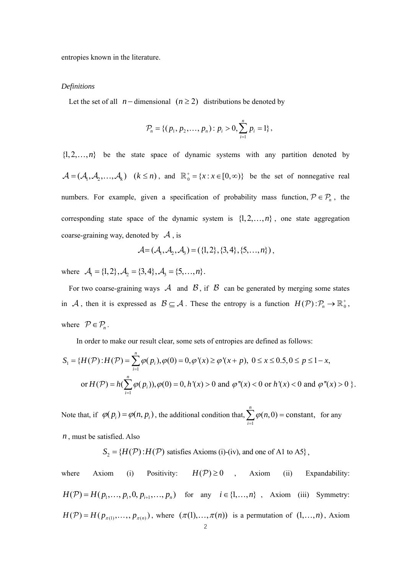entropies known in the literature.

#### *Definitions*

Let the set of all  $n-$ dimensional  $(n \geq 2)$  distributions be denoted by

$$
\mathcal{P}_n = \{ (p_1, p_2, \dots, p_n) : p_i > 0, \sum_{i=1}^n p_i = 1 \},\
$$

 $\{1, 2, \ldots, n\}$  be the state space of dynamic systems with any partition denoted by  $\mathcal{A} = (\mathcal{A}_1, \mathcal{A}_2, ..., \mathcal{A}_k)$   $(k \le n)$ , and  $\mathbb{R}_0^+ = \{x : x \in [0, \infty)\}$  be the set of nonnegative real numbers. For example, given a specification of probability mass function,  $P \in P_n$ , the corresponding state space of the dynamic system is  $\{1, 2, \ldots, n\}$ , one state aggregation coarse-graining way, denoted by  $\mathcal A$ , is

$$
\mathcal{A} = (\mathcal{A}_1, \mathcal{A}_2, \mathcal{A}_3) = (\{1, 2\}, \{3, 4\}, \{5, \ldots, n\})
$$

where  $A_1 = \{1, 2\}, A_2 = \{3, 4\}, A_3 = \{5, ..., n\}.$ 

For two coarse-graining ways A and  $\beta$ , if  $\beta$  can be generated by merging some states in A, then it is expressed as  $B \subseteq A$ . These the entropy is a function  $H(P) : \mathcal{P}_n \to \mathbb{R}_0^+$ , where  $P \in \mathcal{P}_n$ .

In order to make our result clear, some sets of entropies are defined as follows:

$$
S_1 = \{H(\mathcal{P}) : H(\mathcal{P}) = \sum_{i=1}^n \varphi(p_i), \varphi(0) = 0, \varphi'(x) \ge \varphi'(x+p), \ 0 \le x \le 0.5, 0 \le p \le 1-x,
$$
  
or  $H(\mathcal{P}) = h(\sum_{i=1}^n \varphi(p_i)), \varphi(0) = 0, h'(x) > 0 \text{ and } \varphi''(x) < 0 \text{ or } h'(x) < 0 \text{ and } \varphi''(x) > 0 \}.$ 

Note that, if  $\varphi(p_i) = \varphi(n, p_i)$ , the additional condition that, 1  $(n,0)$  = constant, *n i*  $\varphi$ (*n*  $\sum_{i=1}^{\infty} \varphi(n,0) = \text{constant}, \text{ for any}$ 

*n* , must be satisfied. Also

$$
S_2 = \{H(\mathcal{P}) : H(\mathcal{P}) \text{ satisfies Axioms (i)-(iv), and one of A1 to A5}\},
$$

where Axiom (i) Positivity:  $H(\mathcal{P}) \ge 0$ , Axiom (ii) Expandability:  $H(\mathcal{P}) = H(p_1, ..., p_i, 0, p_{i+1}, ..., p_n)$  for any  $i \in \{1, ..., n\}$ , Axiom (iii) Symmetry:  $H(\mathcal{P}) = H(p_{\pi(1)}, \ldots, p_{\pi(n)})$ , where  $(\pi(1), \ldots, \pi(n))$  is a permutation of  $(1, \ldots, n)$ , Axiom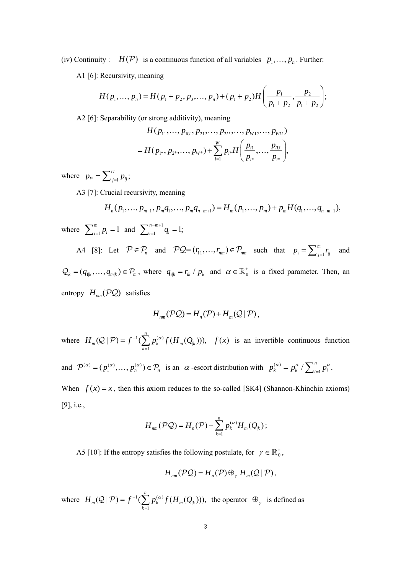(iv) Continuity:  $H(\mathcal{P})$  is a continuous function of all variables  $p_1, ..., p_n$ . Further:

A1 [6]: Recursivity, meaning

$$
H(p_1,\ldots,p_n)=H(p_1+p_2,p_3,\ldots,p_n)+(p_1+p_2)H\bigg(\frac{p_1}{p_1+p_2},\frac{p_2}{p_1+p_2}\bigg);
$$

A2 [6]: Separability (or strong additivity), meaning

$$
H(p_{11},...,p_{1U},p_{21},...,p_{2U},...,p_{W1},...,p_{WU})
$$
  
=  $H(p_{1*},p_{2*},...,p_{W*})+\sum_{i=1}^{W}p_{i*}H(\frac{p_{i1}}{p_{i*}},..., \frac{p_{iU}}{p_{i*}}),$ 

where  $p_{i^*} = \sum_{j=1}^U p_{ij}$ ;

A3 [7]: Crucial recursivity, meaning

$$
H_n(p_1,\ldots,p_{m-1},p_mq_1,\ldots,p_mq_{n-m+1})=H_m(p_1,\ldots,p_m)+p_mH(q_1,\ldots,q_{n-m+1}),
$$

where  $\sum_{i=1}^{m} p_i = 1$  and  $\sum_{i=1}^{n-m+1} q_i = 1$ ;

A4 [8]: Let  $P \in \mathcal{P}_n$  and  $PQ = (r_{11}, \dots, r_{nm}) \in \mathcal{P}_{nm}$  such that  $p_i = \sum_{j=1}^m r_j$  $p_i = \sum_{j=1}^m r_{ij}$  and  $Q_k = (q_{1k},..., q_{m,k}) \in \mathcal{P}_m$ , where  $q_{i,k} = r_{ik} / p_k$  and  $\alpha \in \mathbb{R}^+$  is a fixed parameter. Then, an entropy  $H_{nm}$  (PQ) satisfies

$$
H_{nm}(\mathcal{P}\mathcal{Q})=H_n(\mathcal{P})+H_m(\mathcal{Q}\,|\,\mathcal{P})\,,
$$

where  $H_m(Q | \mathcal{P}) = f^{-1}(\sum p_k^{(\alpha)} f(H_m(Q)))$ 1  $(Q | P) = f^{-1}(\sum p_k^{(\alpha)} f(H_m(Q_k))),$ *n*  $_m(\mathbf{z} \mid r) = j \quad (\sum F_k \cup (H_m(\mathbf{z}_k))$ *k*  $H_m(\mathcal{Q} | \mathcal{P}) = f^{-1}(\sum p_k^{(\alpha)} f(H_m Q))$  $f(Q | P) = f^{-1}(\sum_{k=1}^{\infty} p_k^{(\alpha)} f(H_m(Q_k)))$ ,  $f(x)$  is an invertible continuous function

and  $\mathcal{P}^{(\alpha)} = (p_1^{(\alpha)}, \dots, p_n^{(\alpha)}) \in \mathcal{P}_n$  is an  $\alpha$ -escort distribution with  $p_k^{(\alpha)} = p_k^{\alpha} / \sum_{i=1}^n p_i^{\alpha}$ .

When  $f(x) = x$ , then this axiom reduces to the so-called [SK4] (Shannon-Khinchin axioms) [9], i.e.,

$$
H_{nm}(\mathcal{P}\mathcal{Q})=H_n(\mathcal{P})+\sum_{k=1}^n p_k^{(\alpha)}H_m(Q_k);
$$

A5 [10]: If the entropy satisfies the following postulate, for  $\gamma \in \mathbb{R}_0^+$ ,

$$
H_{nm}(\mathcal{P}\mathcal{Q})=H_n(\mathcal{P})\oplus_{\gamma}H_m(\mathcal{Q}\,|\,\mathcal{P}),
$$

where  $H_m(\mathcal{Q} | \mathcal{P}) = f^{-1}(\sum p_k^{(\alpha)} f(H_m Q))$ 1  $(Q | \mathcal{P}) = f^{-1}(\sum p_k^{(\alpha)} f(H_m(Q_k))),$ *n*  $_m(\mathbf{z} \mid r) = j \quad (\sum P_k \quad J \quad (H_m(\mathbf{z})_k)$ *k*  $H_m(\mathcal{Q} | \mathcal{P}) = f^{-1}(\sum p_k^{(\alpha)} f(H_m(Q$  $(Q | P) = f^{-1}(\sum_{k=1}^{\infty} p_k^{(\alpha)} f(H_m(Q_k)))$ , the operator  $\bigoplus_{\gamma}$  is defined as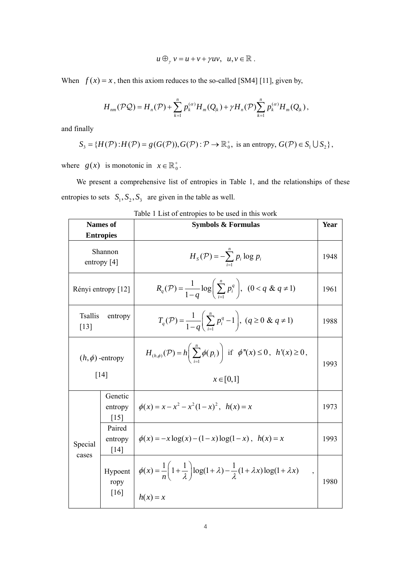$u \bigoplus_{\gamma} v = u + v + \gamma uv, u, v \in \mathbb{R}$ .

When  $f(x) = x$ , then this axiom reduces to the so-called [SM4] [11], given by,

$$
H_{nm}(\mathcal{PQ}) = H_n(\mathcal{P}) + \sum_{k=1}^n p_k^{(\alpha)} H_m(Q_k) + \gamma H_n(\mathcal{P}) \sum_{k=1}^n p_k^{(\alpha)} H_m(Q_k),
$$

and finally

$$
S_3 = \{H(\mathcal{P}): H(\mathcal{P}) = g(G(\mathcal{P})), G(\mathcal{P}): \mathcal{P} \to \mathbb{R}_0^+, \text{ is an entropy, } G(\mathcal{P}) \in S_1 \cup S_2\},\
$$

where  $g(x)$  is monotonic in  $x \in \mathbb{R}_0^+$ .

We present a comprehensive list of entropies in Table 1, and the relationships of these entropies to sets  $S_1, S_2, S_3$  are given in the table as well.

| <b>Names of</b>                          | <b>Symbols &amp; Formulas</b>                                                                                                                        | Year |
|------------------------------------------|------------------------------------------------------------------------------------------------------------------------------------------------------|------|
| <b>Entropies</b>                         |                                                                                                                                                      |      |
| Shannon<br>entropy $[4]$                 | $H_s(\mathcal{P}) = -\sum_{i=1}^{n} p_i \log p_i$                                                                                                    | 1948 |
| Rényi entropy [12]                       | $R_q(\mathcal{P}) = \frac{1}{1-a} \log \left( \sum_{i=1}^n p_i^q \right), \quad (0 < q \& q \neq 1)$                                                 | 1961 |
| entropy                                  | $T_q(\mathcal{P}) = \frac{1}{1-q} \left( \sum_{i=1}^n p_i^q - 1 \right), (q \ge 0 \& q \ne 1)$                                                       | 1988 |
| $(h, \phi)$ -entropy                     | $H_{(h,\phi)}(\mathcal{P}) = h\left(\sum_{i=1}^n \phi(p_i)\right)$ if $\phi''(x) \leq 0$ , $h'(x) \geq 0$ ,                                          | 1993 |
|                                          | $x \in [0,1]$                                                                                                                                        |      |
| Genetic<br>entropy<br>$\lceil 15 \rceil$ | $\phi(x) = x - x^2 - x^2(1-x)^2$ , $h(x) = x$                                                                                                        | 1973 |
| Paired<br>entropy<br>[14]                | $\phi(x) = -x \log(x) - (1-x) \log(1-x)$ , $h(x) = x$                                                                                                | 1993 |
| Hypoent<br>ropy<br>[16]                  | $\phi(x) = \frac{1}{n} \left( 1 + \frac{1}{\lambda} \right) \log(1 + \lambda) - \frac{1}{\lambda} (1 + \lambda x) \log(1 + \lambda x)$<br>$h(x) = x$ | 1980 |
|                                          | [14]                                                                                                                                                 |      |

| Table 1 List of entropies to be used in this work |  |  |
|---------------------------------------------------|--|--|
|---------------------------------------------------|--|--|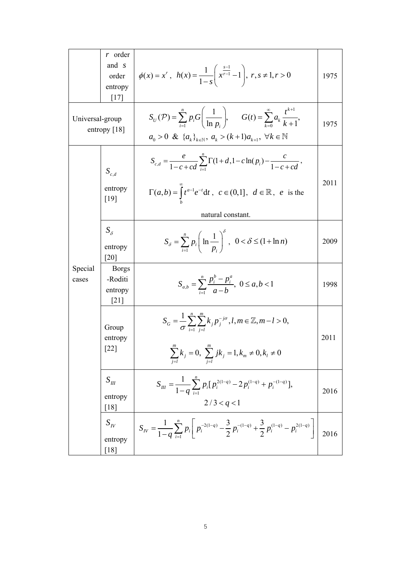|                                   | $r$ order<br>and <i>s</i><br>order<br>entropy<br>$[17]$ | $\phi(x) = x^r$ , $h(x) = \frac{1}{1-s} \left( x^{\frac{s-1}{r-1}} - 1 \right)$ , $r, s \neq 1, r > 0$                                                                                                                | 1975 |
|-----------------------------------|---------------------------------------------------------|-----------------------------------------------------------------------------------------------------------------------------------------------------------------------------------------------------------------------|------|
| Universal-group<br>entropy $[18]$ |                                                         | $S_U(\mathcal{P}) = \sum_{i=1}^n p_i G\left(\frac{1}{\ln n}\right), \quad G(t) = \sum_{k=0}^\infty a_k \frac{t^{k+1}}{k+1},$<br>$a_0 > 0 \& \{a_k\}_{k \in \mathbb{N}}, a_k > (k+1)a_{k+1}, \forall k \in \mathbb{N}$ | 1975 |
|                                   | $\boldsymbol{S}_{c,d}$<br>entropy<br>$[19]$             | $S_{c,d} = \frac{e}{1-c+cd} \sum_{i=1}^{n} \Gamma(1+d, 1-c \ln(p_i) - \frac{c}{1-c+cd},$<br>$\Gamma(a,b) = \int t^{a-1}e^{-t}dt$ , $c \in (0,1]$ , $d \in \mathbb{R}$ , e is the<br>natural constant.                 | 2011 |
|                                   | $S_{\delta}$<br>entropy<br>[20]                         | $S_{\delta} = \sum_{i=1}^{n} p_i \left( \ln \frac{1}{p_i} \right)^{\delta}, \ \ 0 < \delta \leq (1 + \ln n)$                                                                                                          | 2009 |
| Special<br>cases                  | <b>Borgs</b><br>-Roditi<br>entropy<br>[21]              | $S_{a,b} = \sum_{i=1}^{n} \frac{p_i^b - p_i^a}{a - b}, \ 0 \le a, b < 1$                                                                                                                                              | 1998 |
|                                   | Group<br>entropy<br>$\lceil 22 \rceil$                  | $S_G = \frac{1}{\sigma} \sum_{i=1}^{n} \sum_{j=1}^{n} k_j p_j^{-j\sigma}, l, m \in \mathbb{Z}, m-l > 0,$<br>$\sum_{j=l}^{\ldots}k_j=0,\ \sum_{j=l}^{m}jk_j=1, k_m\neq 0, k_l\neq 0$                                   | 2011 |
|                                   | $S_{I\!I\!I}$<br>entropy<br>[18]                        | $S_{III} = \frac{1}{1-q} \sum_{i=1}^{n} p_i [p_i^{2(1-q)} - 2p_i^{(1-q)} + p_i^{-(1-q)}],$<br>2/3 < q < 1                                                                                                             | 2016 |
|                                   | $S_{I\!V}$<br>entropy<br>[18]                           | $S_{IV} = \frac{1}{1-q} \sum_{i=1}^{n} p_i \left[ p_i^{-2(1-q)} - \frac{3}{2} p_i^{-(1-q)} + \frac{3}{2} p_i^{(1-q)} - p_i^{2(1-q)} \right]$                                                                          | 2016 |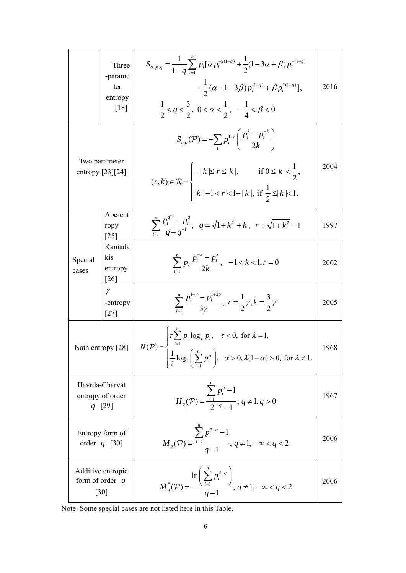|                                                              | Three<br>-parame<br>ter<br>entropy<br>[18] | $S_{\alpha,\beta,q} = \frac{1}{1-a} \sum_{i=1}^{n} p_i [\alpha p_i^{-2(1-q)} + \frac{1}{2}(1-3\alpha+\beta)p_i^{-(1-q)}$<br>$+\frac{1}{2}(\alpha-1-3\beta)p_i^{(1-q)}+\beta p_i^{2(1-q)}],$<br>$\frac{1}{2} < q < \frac{3}{2}$ , $0 < \alpha < \frac{1}{2}$ , $-\frac{1}{4} < \beta < 0$ | 2016 |
|--------------------------------------------------------------|--------------------------------------------|------------------------------------------------------------------------------------------------------------------------------------------------------------------------------------------------------------------------------------------------------------------------------------------|------|
| Two parameter<br>entropy $[23][24]$                          |                                            | $S_{r,k}(\mathcal{P}) = -\sum_{i} p_i^{1+r} \left( \frac{p_i^k - p_i^{-k}}{2k} \right)$<br>$(r, k) \in \mathcal{R} = \begin{cases} - k  \le r \le  k , & \text{if } 0 \le  k  < \frac{1}{2}, \\  k  - 1 < r < 1 -  k , \text{ if } \frac{1}{2} \le  k  < 1. \end{cases}$                 | 2004 |
|                                                              | Abe-ent<br>ropy<br>$\lceil 25 \rceil$      | $\sum_{i=-\infty}^{n} \frac{p_i^{q^{-i}} - p_i^{q}}{q - q^{-1}}, \quad q = \sqrt{1 + k^2} + k, \quad r = \sqrt{1 + k^2} - 1$                                                                                                                                                             | 1997 |
| Special<br>cases                                             | Kaniada<br>kis<br>entropy<br>[26]          | $\sum_{i=1}^n p_i \frac{p_i^{-k} - p_i^{k}}{2k}, -1 < k < 1, r = 0$                                                                                                                                                                                                                      | 2002 |
|                                                              | $\gamma$<br>-entropy<br>$[27]$             | $\sum_{i=1}^{n} \frac{p_i^{1-\gamma} - p_i^{1+2\gamma}}{3\gamma}, r = \frac{1}{2}\gamma, k = \frac{3}{2}\gamma$                                                                                                                                                                          | 2005 |
| Nath entropy [28]                                            |                                            | $N(\mathcal{P}) = \begin{cases} \tau \sum_{i=1}^{n} p_i \log_2 p_i, & \tau < 0, \text{ for } \lambda = 1, \\ \frac{1}{\lambda} \log_2 \left( \sum_{i=1}^{n} p_i^{\alpha} \right), & \alpha > 0, \lambda(1-\alpha) > 0, \text{ for } \lambda \neq 1. \end{cases}$                         | 1968 |
| Havrda-Charvát<br>entropy of order<br>$q$ [29]               |                                            | $H_q(\mathcal{P}) = \frac{\sum_{i=1}^{n} p_i^q - 1}{2^{1-q} - 1}, q \neq 1, q > 0$                                                                                                                                                                                                       | 1967 |
| Entropy form of<br>order $q$ [30]                            |                                            | $M_q(\mathcal{P}) = \frac{\sum_{i=1} p_i^{2-q} - 1}{q-1}, q \neq 1, -\infty < q < 2$                                                                                                                                                                                                     | 2006 |
| Additive entropic<br>form of order $q$<br>$\lceil 30 \rceil$ |                                            | $M_q^*(P) = \frac{\ln\left(\sum_{i=1}^{\infty} P_i^{2-q}\right)}{q-1}, q \neq 1, -\infty < q < 2$                                                                                                                                                                                        | 2006 |

Note: Some special cases are not listed here in this Table.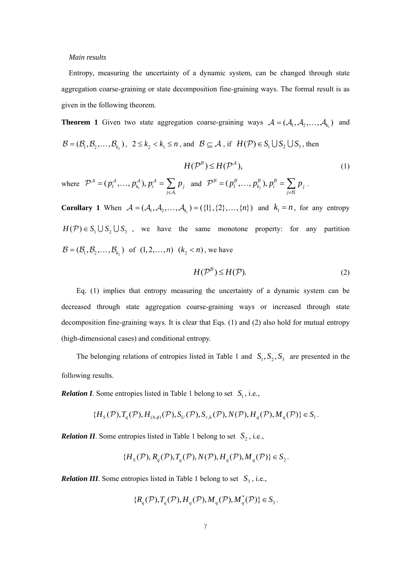#### *Main results*

Entropy, measuring the uncertainty of a dynamic system, can be changed through state aggregation coarse-graining or state decomposition fine-graining ways. The formal result is as given in the following theorem.

**Theorem 1** Given two state aggregation coarse-graining ways  $A = (A_1, A_2, ..., A_{k_1})$  and  $\mathcal{B} = (\mathcal{B}_1, \mathcal{B}_2, \dots, \mathcal{B}_k)$ ,  $2 \le k_1 < k_1 \le n$ , and  $\mathcal{B} \subseteq \mathcal{A}$ , if  $H(\mathcal{P}) \in S_1 \cup S_2 \cup S_3$ , then

$$
H(\mathcal{P}^{\mathcal{B}}) \le H(\mathcal{P}^{\mathcal{A}}),\tag{1}
$$

where  $\mathcal{P}^{\mathcal{A}} = ( p_1^{\mathcal{A}}, ..., p_{k_1}^{\mathcal{A}}),$ *i*  $k_i$ , *j*,  $Pi_i$   $\subset$   $L_i$ *j*  $p_1^{\mathcal{A}}, \ldots, p_k^{\mathcal{A}}$ ),  $p_i^{\mathcal{A}} = \sum p_i$  $\mathcal{P}^{\mathcal{A}} = (p_1^{\mathcal{A}}, ..., p_{k_1}^{\mathcal{A}}), p_i^{\mathcal{A}} = \sum_{j \in \mathcal{A}_i} p_j$  and  $\mathcal{P}^{\mathcal{B}} = (p_1^{\mathcal{B}}, ..., p_{k_2}^{\mathcal{B}}),$ *i*  $\mu_k$ *)*,  $\mu_i$  –  $\sum \mu_j$ *j*  $p_1^B, \ldots, p_{k}^B, p_j^B = \sum p_j$  $\mathcal{B} = (p_1^{\mathcal{B}}, \ldots, p_{k_2}^{\mathcal{B}}), p_i^{\mathcal{B}} = \sum_{j \in \mathcal{B}_i}$  $\mathcal{P}^{\mathcal{B}} = (p_1^{\mathcal{B}}, \ldots, p_k^{\mathcal{B}}), p_i^{\mathcal{B}} = \sum p_i$ .

**Corollary 1** When  $A = (A_1, A_2, ..., A_{k_1}) = (\{1\}, \{2\}, ..., \{n\})$  and  $k_1 = n$ , for any entropy  $H(\mathcal{P}) \in S_1 \cup S_2 \cup S_3$ , we have the same monotone property: for any partition  $\mathcal{B} = (\mathcal{B}_1, \mathcal{B}_2, \dots, \mathcal{B}_k)$  of  $(1, 2, \dots, n)$   $(k, < n)$ , we have

$$
H(\mathcal{P}^{\mathcal{B}}) \le H(\mathcal{P}).\tag{2}
$$

Eq. (1) implies that entropy measuring the uncertainty of a dynamic system can be decreased through state aggregation coarse-graining ways or increased through state decomposition fine-graining ways. It is clear that Eqs. (1) and (2) also hold for mutual entropy (high-dimensional cases) and conditional entropy.

The belonging relations of entropies listed in Table 1 and  $S_1, S_2, S_3$  are presented in the following results.

*Relation I*. Some entropies listed in Table 1 belong to set  $S_1$ , i.e.,

$$
\{H_{s}(\mathcal{P}), T_{q}(\mathcal{P}), H_{(h,\phi)}(\mathcal{P}), S_{U}(\mathcal{P}), S_{r,k}(\mathcal{P}), N(\mathcal{P}), H_{q}(\mathcal{P}), M_{q}(\mathcal{P})\} \in S_{1}.
$$

*Relation II*. Some entropies listed in Table 1 belong to set  $S_2$ , i.e.,

$$
\{H_s(\mathcal{P}), R_q(\mathcal{P}), T_q(\mathcal{P}), N(\mathcal{P}), H_q(\mathcal{P}), M_q(\mathcal{P})\} \in S_2.
$$

*Relation III*. Some entropies listed in Table 1 belong to set  $S_3$ , i.e.,

$$
\{R_q(\mathcal{P}), T_q(\mathcal{P}), H_q(\mathcal{P}), M_q(\mathcal{P}), M_q^*(\mathcal{P})\} \in S_3.
$$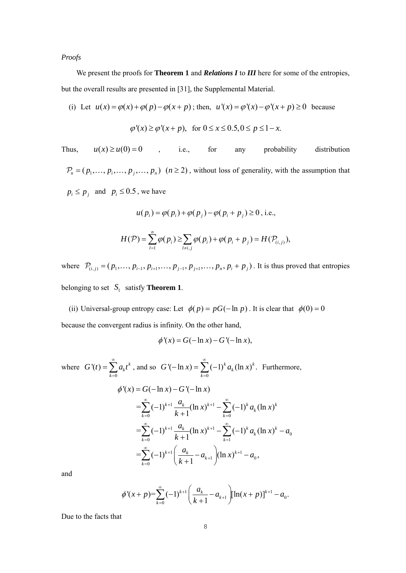*Proofs* 

We present the proofs for **Theorem 1** and *Relations I* to *III* here for some of the entropies, but the overall results are presented in [31], the Supplemental Material.

(i) Let 
$$
u(x) = \varphi(x) + \varphi(p) - \varphi(x+p)
$$
; then,  $u'(x) = \varphi'(x) - \varphi'(x+p) \ge 0$  because  

$$
\varphi'(x) \ge \varphi'(x+p), \text{ for } 0 \le x \le 0.5, 0 \le p \le 1-x.
$$

Thus,  $u(x) \ge u(0) = 0$ , i.e., for any probability distribution  $P_n = (p_1, \dots, p_i, \dots, p_j, \dots, p_n)$   $(n \ge 2)$ , without loss of generality, with the assumption that  $p_i \leq p_i$  and  $p_i \leq 0.5$ , we have

$$
u(p_i) = \varphi(p_i) + \varphi(p_j) - \varphi(p_i + p_j) \ge 0, \text{ i.e.,}
$$
  

$$
H(\mathcal{P}) = \sum_{l=1}^{n} \varphi(p_i) \ge \sum_{l \ne i, j} \varphi(p_i) + \varphi(p_i + p_j) = H(\mathcal{P}_{(i,j)}),
$$

where  $\mathcal{P}_{(i,j)} = (p_1, \dots, p_{i-1}, p_{i+1}, \dots, p_{j-1}, p_{j+1}, \dots, p_n, p_i + p_j)$ . It is thus proved that entropies belonging to set  $S_1$  satisfy **Theorem 1**.

(ii) Universal-group entropy case: Let  $\phi(p) = pG(-\ln p)$ . It is clear that  $\phi(0) = 0$ because the convergent radius is infinity. On the other hand,

$$
\phi'(x) = G(-\ln x) - G'(-\ln x),
$$

where  $\boldsymbol{0}$  $f(t) = \sum a_k t^k$ *k*  $G'(t) = \sum a_i t$  $\infty$  $=\sum_{k=0} a_k t^k$ , and so  $G'(-\ln x) = \sum_{k=0}$  $J'(-\ln x) = \sum_{k=1}^{\infty} (-1)^{k} a_{k} (\ln x)^{k}$ . *k*  $G'(-\ln x) = \sum (-1)^k a_k (\ln x)$  $\infty$  $-\ln x$ ) =  $\sum_{k=0} (-1)^k a_k (\ln x)^k$ . Furthermore,  $1 - u_k (ln x)^{k+1}$  $=\sum_{k=0}^{\infty} (-1)^{k+1} \frac{a_k}{k+1} (\ln x)^{k+1} - \sum_{k=0}^{\infty} (-1)^k a_k (\ln x)^k$  $1 - u_k (1 - x)^{k+1}$ 0  $=\sum_{k=0}^{\infty} (-1)^{k+1} \frac{a_k}{k+1} (\ln x)^{k+1} - \sum_{k=1}^{\infty} (-1)^k a_k (\ln x)^k$  $1 \mid u_k$   $( \ln x)^{k+1}$  $u_0$   $(\text{m} \lambda)$   $u_0$  $=\sum_{k=0}^{\infty}(-1)^{k+1}\left(\frac{a_k}{k+1}-a_{k+1}\right)(\ln x)^{k+1}-a_0,$  $\phi'(x) = G(-\ln x) - G'(-\ln x)$  $k=0$   $\kappa + 1$   $k=1$  $k=0$   $\kappa + 1$   $k=1$ *k*  $\frac{a_k}{a_k}$  (ln x)<sup>k+1</sup> –  $\sum_{k=1}^{\infty}$  (-1)<sup>k</sup>  $a_k$  (ln x) *k*  $\frac{a_k}{a_k}$  (ln x)<sup>k+1</sup> –  $\sum_{k=0}^{\infty}$  (-1)<sup>k</sup>  $a_k$  (ln x)<sup>k</sup> – a *k*  $\frac{a_k}{a_{k-1}} - a_{k+1}$   $\left( \ln x \right)^{k+1} - a$ *k*  $\sum_{k=1}^{\infty}$  (1)  $k+1$   $q_k$  (1)  $n+k+1$   $\sum_{k=1}^{\infty}$  $\sum_{k=0}^{\infty} (-1)^{k+1} \frac{a_k}{k+1} (\ln x)^{k+1} - \sum_{k=0}^{\infty} (-1)^k$  $\sum_{k=1}^{\infty}$   $\binom{n}{k+1}$   $\binom{d_k}{k+1}$   $\binom{n}{k+1}$   $\binom{n}{k+1}$  $\sum_{k=0}^{\infty} (-1)^{k+1} \frac{a_k}{k+1} (\ln x)^{k+1} - \sum_{k=1}^{\infty} (-1)^k a_k (\ln x)^k$  $\sum_{k=1}^{\infty}$  ( 1)  $k+1$   $\left( \begin{array}{cc} a_k & b_{k+1} \end{array} \right)$  (lp x) $k+1$  $^{+}$  $\sum_{k=0}^{\infty}(-1)^{k+1}\left(\frac{a_k}{k+1}-a_{k+1}\right)(\ln x)^{k+1}-$ 

and

$$
\phi'(x+p) = \sum_{k=0}^{\infty} (-1)^{k+1} \left( \frac{a_k}{k+1} - a_{k+1} \right) [\ln(x+p)]^{k+1} - a_0.
$$

Due to the facts that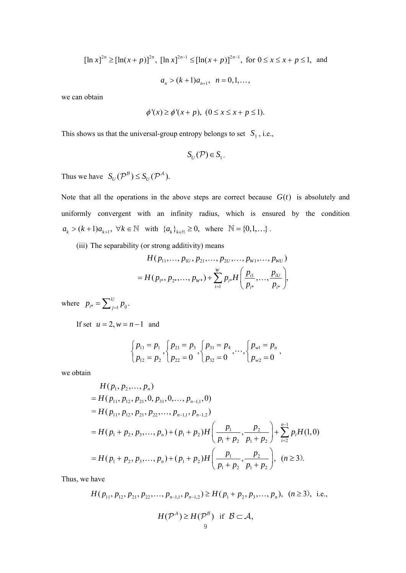$[\ln x]^{2n} \geq [\ln(x+p)]^{2n}$ ,  $[\ln x]^{2n-1} \leq [\ln(x+p)]^{2n-1}$ , for  $0 \leq x \leq x+p \leq 1$ , and  $a_n > (k+1)a_{n+1}, \quad n = 0,1,...,$ 

we can obtain

$$
\phi'(x) \ge \phi'(x+p), \ (0 \le x \le x+p \le 1).
$$

This shows us that the universal-group entropy belongs to set  $S_1$ , i.e.,

$$
S_U(\mathcal{P})\in S_1.
$$

Thus we have  $S_U(\mathcal{P}^B) \leq S_U(\mathcal{P}^A)$ .

Note that all the operations in the above steps are correct because  $G(t)$  is absolutely and uniformly convergent with an infinity radius, which is ensured by the condition  $a_k > (k+1) a_{k+1}, \forall k \in \mathbb{N}$  with  $\{a_k\}_{k \in \mathbb{N}} \ge 0$ , where  $\mathbb{N} = \{0, 1, \ldots\}$ .

(iii) The separability (or strong additivity) means

$$
H(p_{11},...,p_{1U},p_{21},...,p_{2U},...,p_{W1},...,p_{WU})
$$
  
=  $H(p_{1*},p_{2*},...,p_{W*})+\sum_{i=1}^{W} p_{i*} H\left(\frac{p_{i1}}{p_{i*}},...,\frac{p_{iU}}{p_{i*}}\right),$ 

where  $p_{i^*} = \sum_{j=1}^U p_{ij}$ .

If set  $u = 2$ ,  $w = n - 1$  and

$$
\begin{cases}\np_{11} = p_1 \\
p_{12} = p_2\n\end{cases},\n\begin{cases}\np_{21} = p_3 \\
p_{31} = p_4 \\
p_{32} = 0\n\end{cases},\n\cdots,\n\begin{cases}\np_{w1} = p_n \\
p_{w2} = 0\n\end{cases},
$$

we obtain

$$
H(p_1, p_2, ..., p_n)
$$
  
=  $H(p_{11}, p_{12}, p_{21}, 0, p_{31}, 0, ..., p_{n-1,1}, 0)$   
=  $H(p_{11}, p_{12}, p_{21}, p_{22}, ..., p_{n-1,1}, p_{n-1,2})$   
=  $H(p_1 + p_2, p_3, ..., p_n) + (p_1 + p_2)H\left(\frac{p_1}{p_1 + p_2}, \frac{p_2}{p_1 + p_2}\right) + \sum_{i=2}^{n-1} p_i H(1, 0)$   
=  $H(p_1 + p_2, p_3, ..., p_n) + (p_1 + p_2)H\left(\frac{p_1}{p_1 + p_2}, \frac{p_2}{p_1 + p_2}\right), \quad (n \ge 3).$ 

Thus, we have

$$
H(p_{11}, p_{12}, p_{21}, p_{22}, \dots, p_{n-1,1}, p_{n-1,2}) \ge H(p_1 + p_2, p_3, \dots, p_n), \ (n \ge 3), \text{ i.e.,}
$$

$$
H(\mathcal{P}^A) \ge H(\mathcal{P}^B) \text{ if } \mathcal{B} \subset \mathcal{A},
$$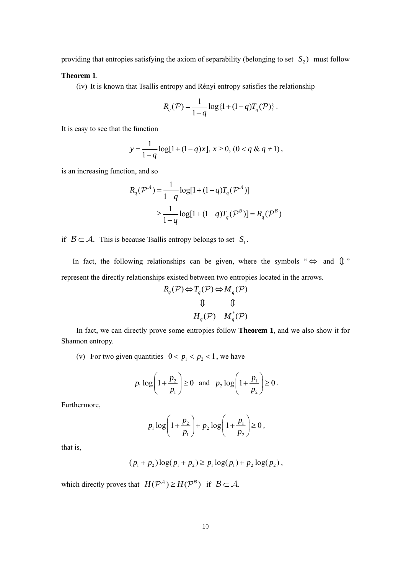providing that entropies satisfying the axiom of separability (belonging to set  $S_2$ ) must follow

## **Theorem 1**.

(iv) It is known that Tsallis entropy and Rényi entropy satisfies the relationship

$$
R_q(\mathcal{P}) = \frac{1}{1-q} \log \{1 + (1-q)T_q(\mathcal{P})\}.
$$

It is easy to see that the function

$$
y = \frac{1}{1-q} \log[1 + (1-q)x], x \ge 0, (0 < q \& q \ne 1),
$$

is an increasing function, and so

$$
R_q(\mathcal{P}^{\mathcal{A}}) = \frac{1}{1-q} \log[1 + (1-q)T_q(\mathcal{P}^{\mathcal{A}})]
$$
  
\n
$$
\geq \frac{1}{1-q} \log[1 + (1-q)T_q(\mathcal{P}^{\mathcal{B}})] = R_q(\mathcal{P}^{\mathcal{B}})
$$

if  $\mathcal{B} \subset \mathcal{A}$ . This is because Tsallis entropy belongs to set  $S_1$ .

In fact, the following relationships can be given, where the symbols " $\Leftrightarrow$  and  $\mathbb{D}$ " represent the directly relationships existed between two entropies located in the arrows.

$$
R_q(\mathcal{P}) \Leftrightarrow T_q(\mathcal{P}) \Leftrightarrow M_q(\mathcal{P})
$$
  

$$
\updownarrow \qquad \qquad \updownarrow
$$
  

$$
H_q(\mathcal{P}) \qquad M_q^*(\mathcal{P})
$$

In fact, we can directly prove some entropies follow **Theorem 1**, and we also show it for Shannon entropy.

(v) For two given quantities  $0 < p_1 < p_2 < 1$ , we have

$$
p_1 \log \left(1 + \frac{p_2}{p_1}\right) \ge 0
$$
 and  $p_2 \log \left(1 + \frac{p_1}{p_2}\right) \ge 0$ .

Furthermore,

$$
p_1 \log \left(1 + \frac{p_2}{p_1}\right) + p_2 \log \left(1 + \frac{p_1}{p_2}\right) \ge 0
$$
,

that is,

$$
(p_1 + p_2) \log (p_1 + p_2) \ge p_1 \log (p_1) + p_2 \log (p_2),
$$

which directly proves that  $H(\mathcal{P}^{\mathcal{A}}) \geq H(\mathcal{P}^{\mathcal{B}})$  if  $\mathcal{B} \subset \mathcal{A}$ .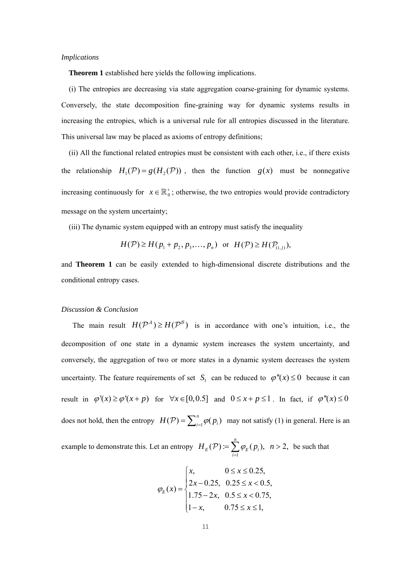#### *Implications*

**Theorem 1** established here yields the following implications.

(i) The entropies are decreasing via state aggregation coarse-graining for dynamic systems. Conversely, the state decomposition fine-graining way for dynamic systems results in increasing the entropies, which is a universal rule for all entropies discussed in the literature. This universal law may be placed as axioms of entropy definitions;

(ii) All the functional related entropies must be consistent with each other, i.e., if there exists the relationship  $H_1(\mathcal{P}) = g(H_2(\mathcal{P}))$ , then the function  $g(x)$  must be nonnegative increasing continuously for  $x \in \mathbb{R}_0^+$ ; otherwise, the two entropies would provide contradictory message on the system uncertainty;

(iii) The dynamic system equipped with an entropy must satisfy the inequality

$$
H(\mathcal{P}) \ge H(p_1 + p_2, p_3, \dots, p_n) \text{ or } H(\mathcal{P}) \ge H(\mathcal{P}_{(i,j)}),
$$

and **Theorem 1** can be easily extended to high-dimensional discrete distributions and the conditional entropy cases.

#### *Discussion & Conclusion*

The main result  $H(P^A) \ge H(P^B)$  is in accordance with one's intuition, i.e., the decomposition of one state in a dynamic system increases the system uncertainty, and conversely, the aggregation of two or more states in a dynamic system decreases the system uncertainty. The feature requirements of set  $S_1$  can be reduced to  $\varphi''(x) \le 0$  because it can result in  $\varphi'(x) \ge \varphi'(x+p)$  for  $\forall x \in [0,0.5]$  and  $0 \le x+p \le 1$ . In fact, if  $\varphi''(x) \le 0$ does not hold, then the entropy  $H(\mathcal{P}) = \sum_{i=1}^{n} \varphi(p_i)$  may not satisfy (1) in general. Here is an

example to demonstrate this. Let an entropy 1  $(\mathcal{P}) = \sum \varphi_F(p_i), \ \ n > 2,$ *n*  $E(Y) = \sum \psi_E(P_i)$ *i*  $H_{F}(\mathcal{P}) \coloneqq \sum \varphi_{F}(p_{i}), \; n$  $\mathcal{P}$ ) :=  $\sum_{i=1}^n \varphi_E(p_i)$ ,  $n > 2$ , be such that

$$
\varphi_E(x) = \begin{cases} x, & 0 \le x \le 0.25, \\ 2x - 0.25, & 0.25 \le x < 0.5, \\ 1.75 - 2x, & 0.5 \le x < 0.75, \\ 1 - x, & 0.75 \le x \le 1, \end{cases}
$$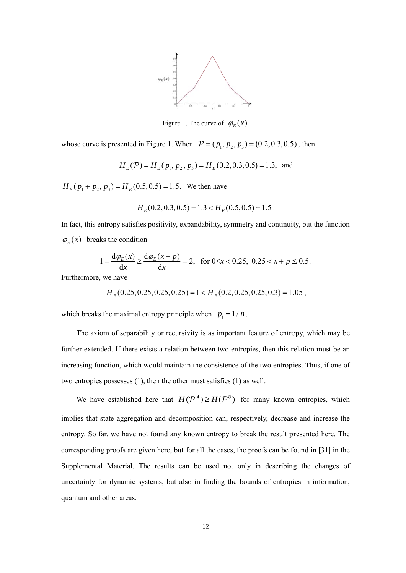

Figure 1. The curve of  $\varphi_E(x)$ 

whose curve is presented in Figure 1. When  $P = (p_1, p_2, p_3) = (0.2, 0.3, 0.5)$ , then

$$
H_E(\mathcal{P}) = H_E(p_1, p_2, p_3) = H_E(0.2, 0.3, 0.5) = 1.3
$$
, and

 $H_E(p_1 + p_2, p_3) = H_E(0.5, 0.5) = 1.5$ . We then have

$$
H_E(0.2, 0.3, 0.5) = 1.3 < H_E(0.5, 0.5) = 1.5
$$

In fact, this entropy satisfies positivity, expandability, symmetry and continuity, but the function  $\varphi_E(x)$  breaks the condition

$$
1 = \frac{d\varphi_E(x)}{dx} \ge \frac{d\varphi_E(x+p)}{dx} = 2, \text{ for } 0 < x < 0.25, \ 0.25 < x+p \le 0.5.
$$

Furthermore, we have

$$
H_E(0.25, 0.25, 0.25, 0.25) = 1 < H_E(0.2, 0.25, 0.25, 0.3) = 1.05
$$

which breaks the maximal entropy principle when  $p_i = 1/n$ .

further extended. If there exists a relation between two entropies, then this relation must be an increasing function, which would maintain the consistence of the two entropies. Thus, if one of two entropies possesses  $(1)$ , then the other must satisfies  $(1)$  as well. The axiom of separability or recursivity is as important feature of entropy, which may be

implies that state aggregation and decomposition can, respectively, decrease and increase the entropy. So far, we have not found any known entropy to break the result presented here. The corresponding proofs are given here, but for all the cases, the proofs can be found in [31] in the Supplemental Material. The results can be used not only in describing the changes of uncertainty for dynamic systems, but also in finding the bounds of entropies in information, quantum and other areas. We have established here that  $H(P^A) \ge H(P^B)$  for many known entropies, which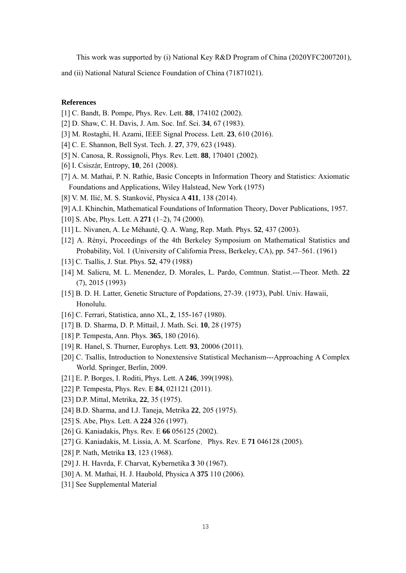This work was supported by (i) National Key R&D Program of China (2020YFC2007201),

and (ii) National Natural Science Foundation of China (71871021).

## **References**

- [1] C. Bandt, B. Pompe, Phys. Rev. Lett. **88**, 174102 (2002).
- [2] D. Shaw, C. H. Davis, J. Am. Soc. Inf. Sci. **34**, 67 (1983).
- [3] M. Rostaghi, H. Azami, IEEE Signal Process. Lett. **23**, 610 (2016).
- [4] C. E. Shannon, Bell Syst. Tech. J. **27**, 379, 623 (1948).
- [5] N. Canosa, R. Rossignoli, Phys. Rev. Lett. **88**, 170401 (2002).
- [6] I. Csiszár, Entropy, **10**, 261 (2008).
- [7] A. M. Mathai, P. N. Rathie, Basic Concepts in Information Theory and Statistics: Axiomatic Foundations and Applications, Wiley Halstead, New York (1975)
- [8] V. M. Ilić, M. S. Stanković, Physica A **411**, 138 (2014).
- [9] A.I. Khinchin, Mathematical Foundations of Information Theory, Dover Publications, 1957.
- [10] S. Abe, Phys. Lett. A **271** (1–2), 74 (2000).
- [11] L. Nivanen, A. Le Méhauté, Q. A. Wang, Rep. Math. Phys. **52**, 437 (2003).
- [12] A. Rényi, Proceedings of the 4th Berkeley Symposium on Mathematical Statistics and Probability, Vol. 1 (University of California Press, Berkeley, CA), pp. 547–561. (1961)
- [13] C. Tsallis, J. Stat. Phys. **52**, 479 (1988)
- [14] M. Salicru, M. L. Menendez, D. Morales, L. Pardo, Comtnun. Statist.---Theor. Meth. **22** (7), 2015 (1993)
- [15] B. D. H. Latter, Genetic Structure of Popdations, 27-39. (1973), Publ. Univ. Hawaii, Honolulu.
- [16] C. Ferrari, Statistica, anno XL, **2**, 155-167 (1980).
- [17] B. D. Sharma, D. P. Mittail, J. Math. Sci. **10**, 28 (1975)
- [18] P. Tempesta, Ann. Phys. **365**, 180 (2016).
- [19] R. Hanel, S. Thurner, Europhys. Lett. **93**, 20006 (2011).
- [20] C. Tsallis, Introduction to Nonextensive Statistical Mechanism---Approaching A Complex World. Springer, Berlin, 2009.
- [21] E. P. Borges, I. Roditi, Phys. Lett. A **246**, 399(1998).
- [22] P. Tempesta, Phys. Rev. E **84**, 021121 (2011).
- [23] D.P. Mittal, Metrika, **22**, 35 (1975).
- [24] B.D. Sharma, and I.J. Taneja, Metrika **22**, 205 (1975).
- [25] S. Abe, Phys. Lett. A **224** 326 (1997).
- [26] G. Kaniadakis, Phys. Rev. E **66** 056125 (2002).
- [27] G. Kaniadakis, M. Lissia, A. M. Scarfone, Phys. Rev. E **71** 046128 (2005).
- [28] P. Nath, Metrika **13**, 123 (1968).
- [29] J. H. Havrda, F. Charvat, Kybernetika **3** 30 (1967).
- [30] A. M. Mathai, H. J. Haubold, Physica A **375** 110 (2006).
- [31] See Supplemental Material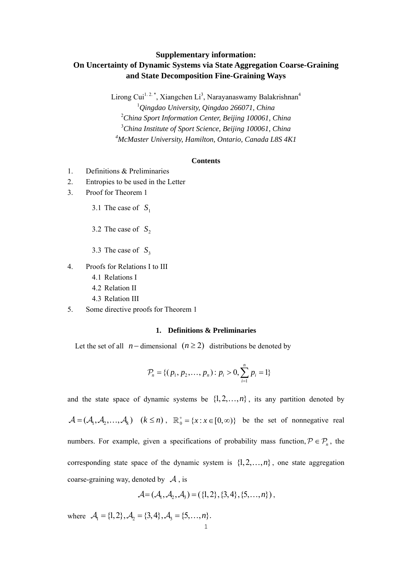# **Supplementary information: On Uncertainty of Dynamic Systems via State Aggregation Coarse-Graining and State Decomposition Fine-Graining Ways**

Lirong Cui<sup>1.2.\*</sup>, Xiangchen Li<sup>3</sup>, Narayanaswamy Balakrishnan<sup>4</sup> *Qingdao University, Qingdao 266071, China China Sport Information Center, Beijing 100061, China China Institute of Sport Science, Beijing 100061, China McMaster University, Hamilton, Ontario, Canada L8S 4K1*

## **Contents**

- 1. Definitions & Preliminaries
- 2. Entropies to be used in the Letter
- 3. Proof for Theorem 1
	- 3.1 The case of  $S_1$
	- 3.2 The case of  $S_2$
	- 3.3 The case of  $S_3$
- 4. Proofs for Relations I to III
	- 4.1 Relations I
	- 4.2 Relation II
	- 4.3 Relation III
- 5. Some directive proofs for Theorem 1

## **1. Definitions & Preliminaries**

Let the set of all  $n-$  dimensional  $(n \geq 2)$  distributions be denoted by

$$
\mathcal{P}_n = \{ (p_1, p_2, \dots, p_n) : p_i > 0, \sum_{i=1}^n p_i = 1 \}
$$

and the state space of dynamic systems be  $\{1, 2, ..., n\}$ , its any partition denoted by  $\mathcal{A} = (\mathcal{A}_1, \mathcal{A}_2, ..., \mathcal{A}_k)$   $(k \leq n)$ ,  $\mathbb{R}_0^+ = \{x : x \in [0, \infty)\}$  be the set of nonnegative real numbers. For example, given a specifications of probability mass function,  $P \in P_n$ , the corresponding state space of the dynamic system is  $\{1, 2, \ldots, n\}$ , one state aggregation coarse-graining way, denoted by  $\mathcal A$ , is

$$
\mathcal{A} = (\mathcal{A}_1, \mathcal{A}_2, \mathcal{A}_3) = (\{1, 2\}, \{3, 4\}, \{5, \ldots, n\})
$$

where  $A_1 = \{1, 2\}, A_2 = \{3, 4\}, A_3 = \{5, ..., n\}.$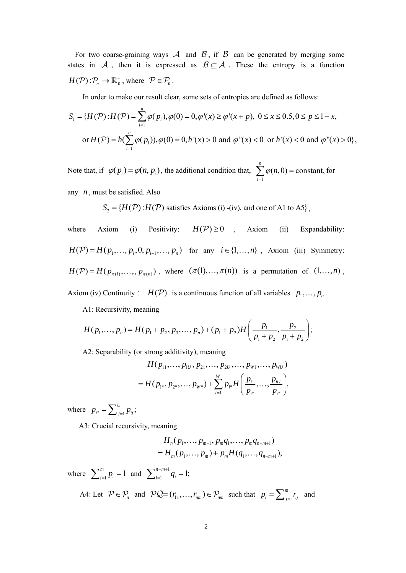For two coarse-graining ways  $\mathcal A$  and  $\mathcal B$ , if  $\mathcal B$  can be generated by merging some states in A, then it is expressed as  $B \subseteq A$ . These the entropy is a function  $H(\mathcal{P}) : \mathcal{P}_n \to \mathbb{R}_0^+$ , where  $\mathcal{P} \in \mathcal{P}_n$ .

In order to make our result clear, some sets of entropies are defined as follows:

$$
S_1 = \{H(\mathcal{P}) : H(\mathcal{P}) = \sum_{i=1}^n \varphi(p_i), \varphi(0) = 0, \varphi'(x) \ge \varphi'(x+p), \ 0 \le x \le 0.5, 0 \le p \le 1-x,
$$
  
or  $H(\mathcal{P}) = h(\sum_{i=1}^n \varphi(p_i)), \varphi(0) = 0, h'(x) > 0 \text{ and } \varphi''(x) < 0 \text{ or } h'(x) < 0 \text{ and } \varphi''(x) > 0\},$ 

Note that, if  $\varphi(p_i) = \varphi(n, p_i)$ , the additional condition that, 1  $(n,0)$  = constant, *n i*  $\varphi$ (*n*  $\sum_{i=1} \varphi(n,0) = \text{constant},$  for

any *n* , must be satisfied. Also

$$
S_2 = \{H(\mathcal{P}) : H(\mathcal{P}) \text{ satisfies Axioms (i) - (iv), and one of A1 to A5}\},
$$

where Axiom (i) Positivity:  $H(\mathcal{P}) \ge 0$ , Axiom (ii) Expandability:  $H(\mathcal{P}) = H(p_1, ..., p_i, 0, p_{i+1}, ..., p_n)$  for any  $i \in \{1, ..., n\}$ , Axiom (iii) Symmetry:  $H(\mathcal{P}) = H(p_{\pi(1)}, ..., p_{\pi(n)})$ , where  $(\pi(1), ..., \pi(n))$  is a permutation of  $(1, ..., n)$ ,

Axiom (iv) Continuity:  $H(\mathcal{P})$  is a continuous function of all variables  $p_1, ..., p_n$ .

A1: Recursivity, meaning

$$
H(p_1,...,p_n) = H(p_1 + p_2, p_3,...,p_n) + (p_1 + p_2)H\left(\frac{p_1}{p_1 + p_2}, \frac{p_2}{p_1 + p_2}\right);
$$

A2: Separability (or strong additivity), meaning

$$
H(p_{11},...,p_{1U},p_{21},...,p_{2U},...,p_{W1},...,p_{WU})
$$
  
=  $H(p_{1*},p_{2*},...,p_{W*})+\sum_{i=1}^{W}p_{i*}H(\frac{p_{i1}}{p_{i*}},...,\frac{p_{iU}}{p_{i*}}),$ 

where  $p_{i^*} = \sum_{j=1}^U p_{ij}$ ;

A3: Crucial recursivity, meaning

$$
H_n(p_1,\ldots,p_{m-1},p_mq_1,\ldots,p_mq_{n-m+1})
$$
  
=  $H_m(p_1,\ldots,p_m)+p_mH(q_1,\ldots,q_{n-m+1}),$ 

where  $\sum_{i=1}^{m} p_i = 1$  and  $\sum_{i=1}^{n-m+1} q_i = 1$ ;

A4: Let  $P \in \mathcal{P}_n$  and  $PQ = (r_{11}, \dots, r_{nm}) \in \mathcal{P}_{nm}$  such that  $p_i = \sum_{j=1}^m p_j$  $p_i = \sum_{j=1}^m r_{ij}$  and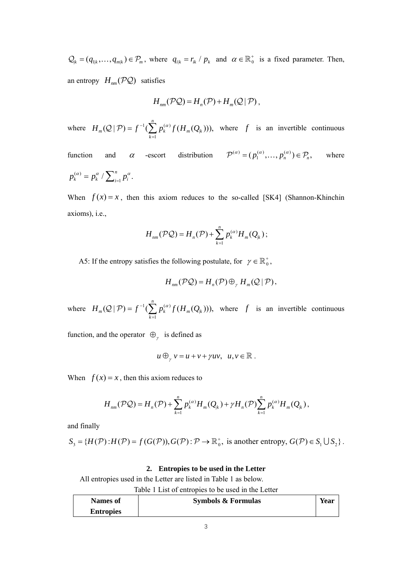$Q_k = (q_{1k}, ..., q_{mk}) \in P_m$ , where  $q_{i,k} = r_{i,k} / p_k$  and  $\alpha \in \mathbb{R}_0^+$  is a fixed parameter. Then, an entropy  $H_{nm}$   $(\mathcal{PQ})$  satisfies

$$
H_{nm}(\mathcal{PQ})=H_n(\mathcal{P})+H_m(Q|\mathcal{P}),
$$

where  $H_m(Q | \mathcal{P}) = f^{-1}(\sum p_k^{(\alpha)} f(H_m(Q)))$ 1  $(Q | P) = f^{-1}(\sum p_k^{(\alpha)} f(H_m(Q_k))),$ *n*  $_m(\mathbf{z} \mid r) = j \quad (\sum P_k \quad J \quad (H_m(\mathbf{z})_k)$ *k*  $H_m(\mathcal{Q} | \mathcal{P}) = f^{-1}(\sum p_k^{(\alpha)} f(H_m Q))$  $(Q | P) = f^{-1}(\sum_{k=1}^{\infty} p_k^{(\alpha)} f(H_m(Q_k)))$ , where f is an invertible continuous

function and  $\alpha$  -escort distribution  $\mathcal{P}^{(\alpha)} = (p_1^{(\alpha)}, \dots, p_n^{(\alpha)}) \in \mathcal{P}_n$ , where  $(\alpha)$  $p_k^{(\alpha)} = p_k^{\alpha} / \sum_{i=1}^n p_i^{\alpha}$ .

When  $f(x) = x$ , then this axiom reduces to the so-called [SK4] (Shannon-Khinchin axioms), i.e.,

$$
H_{nm}(\mathcal{P}\mathcal{Q})=H_n(\mathcal{P})+\sum_{k=1}^n p_k^{(\alpha)}H_m(Q_k);
$$

A5: If the entropy satisfies the following postulate, for  $\gamma \in \mathbb{R}_0^+$ ,

$$
H_{nm}(\mathcal{P}\mathcal{Q})=H_n(\mathcal{P})\oplus_{\gamma}H_m(\mathcal{Q}\,|\,\mathcal{P}),
$$

where  $H_m(Q | \mathcal{P}) = f^{-1}(\sum p_k^{(\alpha)} f(H_m(Q)))$ 1  $(Q | \mathcal{P}) = f^{-1}(\sum p_k^{(\alpha)} f(H_m(Q_k))),$ *n*  $_m(\mathbf{z} \mid r) = j \quad (\sum P_k \quad J \quad (H_m(\mathbf{z})_k)$ *k*  $H_m(\mathcal{Q} | \mathcal{P}) = f^{-1}(\sum p_k^{(\alpha)} f(H_m Q))$  $(Q | P) = f^{-1}(\sum_{k=1}^{\infty} p_k^{(\alpha)} f(H_m(Q_k)))$ , where f is an invertible continuous

function, and the operator  $\Theta_{\gamma}$  is defined as

$$
u\oplus_{\gamma} v = u + v + \gamma uv, \ \ u, v \in \mathbb{R} .
$$

When  $f(x) = x$ , then this axiom reduces to

$$
H_{nm}(\mathcal{PQ}) = H_n(\mathcal{P}) + \sum_{k=1}^n p_k^{(\alpha)} H_m(Q_k) + \gamma H_n(\mathcal{P}) \sum_{k=1}^n p_k^{(\alpha)} H_m(Q_k),
$$

and finally

$$
S_3 = \{H(\mathcal{P}): H(\mathcal{P}) = f(G(\mathcal{P})), G(\mathcal{P}) : \mathcal{P} \to \mathbb{R}_0^+, \text{ is another entropy, } G(\mathcal{P}) \in S_1 \cup S_2 \}.
$$

#### **2. Entropies to be used in the Letter**

All entropies used in the Letter are listed in Table 1 as below.

|                  | Table 1 List of entropies to be used in the Letter |      |
|------------------|----------------------------------------------------|------|
| Names of         | <b>Symbols &amp; Formulas</b>                      | Year |
| <b>Entropies</b> |                                                    |      |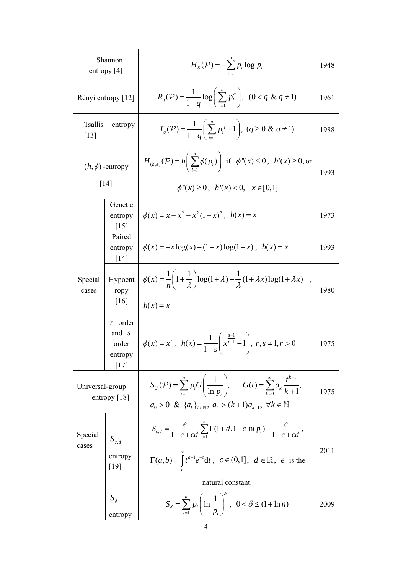|                                      | Shannon<br>entropy $[4]$                      | $H_s(\mathcal{P}) = -\sum_{i=1}^n p_i \log p_i$                                                                                                                                                                              | 1948 |  |
|--------------------------------------|-----------------------------------------------|------------------------------------------------------------------------------------------------------------------------------------------------------------------------------------------------------------------------------|------|--|
| Rényi entropy [12]                   |                                               | $R_q(\mathcal{P}) = \frac{1}{1-a} \log \left( \sum_{i=1}^n p_i^q \right), \quad (0 < q \& q \neq 1)$                                                                                                                         | 1961 |  |
| <b>Tsallis</b><br>$\lceil 13 \rceil$ | entropy                                       | $T_q(\mathcal{P}) = \frac{1}{1-a} \left( \sum_{i=1}^n p_i^q - 1 \right), (q \ge 0 \& q \ne 1)$                                                                                                                               | 1988 |  |
| $(h, \phi)$ -entropy<br>[14]         |                                               | $H_{(h,\phi)}(\mathcal{P}) = h\left(\sum_{i=1}^n \phi(p_i)\right)$ if $\phi''(x) \le 0$ , $h'(x) \ge 0$ , or<br>$\phi''(x) \ge 0$ , $h'(x) < 0$ , $x \in [0,1]$                                                              | 1993 |  |
|                                      | Genetic<br>entropy<br>$\lceil 15 \rceil$      | $\phi(x) = x - x^2 - x^2(1-x)^2$ , $h(x) = x$                                                                                                                                                                                | 1973 |  |
| Special<br>cases                     | Paired<br>entropy<br>[14]                     | $\phi(x) = -x \log(x) - (1 - x) \log(1 - x)$ , $h(x) = x$                                                                                                                                                                    | 1993 |  |
|                                      | Hypoent<br>ropy<br>$\lceil 16 \rceil$         | $\phi(x) = \frac{1}{n} \left( 1 + \frac{1}{\lambda} \right) \log(1 + \lambda) - \frac{1}{\lambda} (1 + \lambda x) \log(1 + \lambda x) ,$<br>$h(x) = x$                                                                       | 1980 |  |
|                                      | $r$ order<br>and s<br>order<br>entropy<br> 17 | $\phi(x) = x^r, \quad h(x) = \frac{1}{1-s} \left( x^{\frac{s-1}{r-1}} - 1 \right), \quad r, s \neq 1, r > 0$                                                                                                                 | 1975 |  |
| Universal-group<br>entropy $[18]$    |                                               | $S_U(\mathcal{P}) = \sum_{i=1}^n p_i G\left(\frac{1}{\ln p_i}\right), \quad G(t) = \sum_{k=0}^\infty a_k \frac{t^{\kappa+1}}{k+1},$<br>$a_0 > 0 \& \{a_k\}_{k \in \mathbb{N}}, a_k > (k+1)a_{k+1}, \forall k \in \mathbb{N}$ | 1975 |  |
| Special<br>cases                     | $S_{c,d}$                                     | $S_{c,d} = \frac{e}{1-c+cd} \sum_{i=1}^{n} \Gamma(1+d, 1-c \ln(p_i) - \frac{c}{1-c+cd},$                                                                                                                                     | 2011 |  |
|                                      | entropy<br>$[19]$                             | $\Gamma(a,b) = \int_t^a t^{a-1} e^{-t} dt, \ c \in (0,1], \ d \in \mathbb{R}, \ e \text{ is the }$<br>natural constant.                                                                                                      |      |  |
|                                      | $S_{\delta}$<br>entropy                       | $S_{\delta} = \sum_{i=1}^{n} p_i \left( \ln \frac{1}{p_i} \right)^{\sigma}, \ \ 0 < \delta \leq (1 + \ln n)$                                                                                                                 | 2009 |  |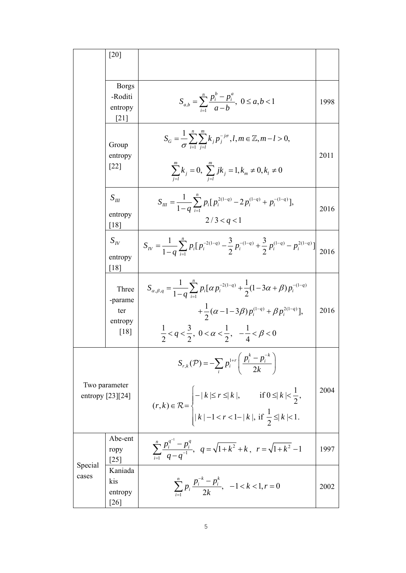|                  | [20]                                                     |                                                                                                                                                                                                                                                                                          |      |
|------------------|----------------------------------------------------------|------------------------------------------------------------------------------------------------------------------------------------------------------------------------------------------------------------------------------------------------------------------------------------------|------|
|                  | <b>Borgs</b><br>-Roditi<br>entropy<br>$\lceil 21 \rceil$ | $S_{a,b} = \sum_{i=1}^{n} \frac{p_i^b - p_i^a}{a-b}$ , $0 \le a, b < 1$                                                                                                                                                                                                                  | 1998 |
|                  | Group<br>entropy<br>$[22]$                               | $S_G = \frac{1}{\sigma} \sum_{i=1}^{n} \sum_{i=1}^{m} k_i p_j^{-j\sigma}, l, m \in \mathbb{Z}, m-l > 0,$<br>$\sum_{j=1}^{m} k_j = 0$ , $\sum_{j=1}^{m} jk_j = 1, k_m \neq 0, k_l \neq 0$                                                                                                 | 2011 |
|                  | $S_{\mu\nu}$<br>entropy<br>[18]                          | $S_{III} = \frac{1}{1-a} \sum_{i=1}^{n} p_i [p_i^{2(1-q)} - 2p_i^{(1-q)} + p_i^{-(1-q)}],$<br>2/3 < q < 1                                                                                                                                                                                | 2016 |
|                  | $S_{I\!V}$<br>entropy<br>$[18]$                          | $S_{IV} = \frac{1}{1-a} \sum_{i=1}^{n} p_i [p_i^{-2(1-q)} - \frac{3}{2} p_i^{-(1-q)} + \frac{3}{2} p_i^{(1-q)} - p_i^{2(1-q)}] \bigg  2016$                                                                                                                                              |      |
|                  | Three<br>-parame<br>ter<br>entropy<br>[18]               | $S_{\alpha,\beta,q} = \frac{1}{1-a} \sum_{i=1}^{n} p_i [\alpha p_i^{-2(1-q)} + \frac{1}{2}(1-3\alpha+\beta)p_i^{-(1-q)}$<br>$+\frac{1}{2}(\alpha-1-3\beta)p_i^{(1-q)}+\beta p_i^{2(1-q)}],$<br>$\frac{1}{2} < q < \frac{3}{2}$ , $0 < \alpha < \frac{1}{2}$ , $-\frac{1}{4} < \beta < 0$ | 2016 |
|                  | Two parameter<br>entropy $[23][24]$                      | $S_{r,k}(\mathcal{P}) = -\sum_{i} p_i^{1+r} \left( \frac{p_i^k - p_i^{-k}}{2k} \right)$<br>$(r, k) \in \mathcal{R} = \begin{cases} - k  \le r \le  k , & \text{if } 0 \le  k  < \frac{1}{2}, \\  k  - 1 < r < 1 -  k , \text{ if } \frac{1}{2} \le  k  < 1. \end{cases}$                 | 2004 |
|                  | Abe-ent<br>ropy<br>$\lceil 25 \rceil$                    | $\sum_{i=1}^{n} \frac{p_i^{q^{i}} - p_i^{q}}{q - q^{-1}}, \ \ q = \sqrt{1 + k^2} + k, \ \ r = \sqrt{1 + k^2} - 1$                                                                                                                                                                        | 1997 |
| Special<br>cases | Kaniada<br>kis<br>entropy<br>$\lceil 26 \rceil$          | $\sum_{i=1}^n p_i \frac{p_i^{r_i} - p_i^{r_i}}{2k}, -1 < k < 1, r = 0$                                                                                                                                                                                                                   | 2002 |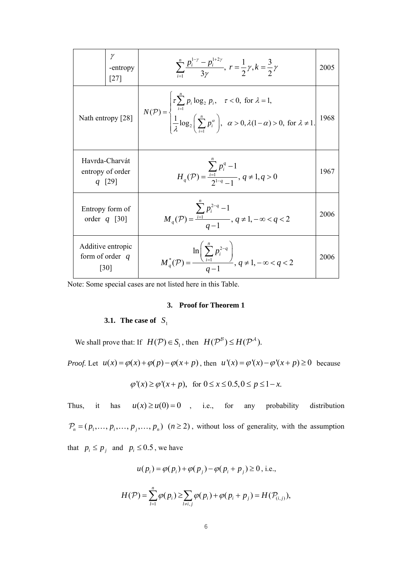|                   | -entropy<br>[27]                               | $\sum_{i=1}^{n} \frac{p_i^{1/2} - p_i^{1/2}}{3\nu}, r = \frac{1}{2}\gamma, k = \frac{3}{2}\gamma$                                                                                                                                                                | 2005 |
|-------------------|------------------------------------------------|------------------------------------------------------------------------------------------------------------------------------------------------------------------------------------------------------------------------------------------------------------------|------|
| Nath entropy [28] |                                                | $N(\mathcal{P}) = \begin{cases} \tau \sum_{i=1}^{n} p_i \log_2 p_i, & \tau < 0, \text{ for } \lambda = 1, \\ \frac{1}{\lambda} \log_2 \left( \sum_{i=1}^{n} p_i^{\alpha} \right), & \alpha > 0, \lambda(1-\alpha) > 0, \text{ for } \lambda \neq 1. \end{cases}$ | 1968 |
|                   | Havrda-Charvát<br>entropy of order<br>$q$ [29] | $H_q(\mathcal{P}) = \frac{\sum_{i=1}^{n} p_i^q - 1}{2^{1-q} - 1}, q \neq 1, q > 0$                                                                                                                                                                               | 1967 |
|                   | Entropy form of<br>order $q$ [30]              | $M_q(\mathcal{P}) = \frac{\sum_{i=1} p_i^{2-q} - 1}{q-1}, q \neq 1, -\infty < q < 2$                                                                                                                                                                             | 2006 |
| form of order $q$ | Additive entropic<br>[30]                      | $M_q^*(P) = \frac{\ln\left(\sum_{i=1}^n p_i^{2-q}\right)}{q-1}, q \neq 1, -\infty < q < 2$                                                                                                                                                                       | 2006 |

Note: Some special cases are not listed here in this Table.

## **3. Proof for Theorem 1**

# **3.1.** The case of  $S_1$

We shall prove that: If  $H(P) \in S_1$ , then  $H(P^{\beta}) \le H(P^{\mathcal{A}})$ .

*Proof.* Let  $u(x) = \varphi(x) + \varphi(p) - \varphi(x+p)$ , then  $u'(x) = \varphi'(x) - \varphi'(x+p) \ge 0$  because

$$
\varphi'(x) \ge \varphi'(x+p), \text{ for } 0 \le x \le 0.5, 0 \le p \le 1-x.
$$

Thus, it has  $u(x) \ge u(0) = 0$ , i.e., for any probability distribution  $P_n = (p_1, \ldots, p_i, \ldots, p_j, \ldots, p_n)$   $(n \ge 2)$ , without loss of generality, with the assumption that  $p_i \leq p_j$  and  $p_i \leq 0.5$ , we have

$$
u(p_i) = \varphi(p_i) + \varphi(p_j) - \varphi(p_i + p_j) \ge 0
$$
, i.e.,

$$
H(\mathcal{P}) = \sum_{i=1}^n \varphi(p_i) \geq \sum_{i \neq i,j} \varphi(p_i) + \varphi(p_i + p_j) = H(\mathcal{P}_{(i,j)}),
$$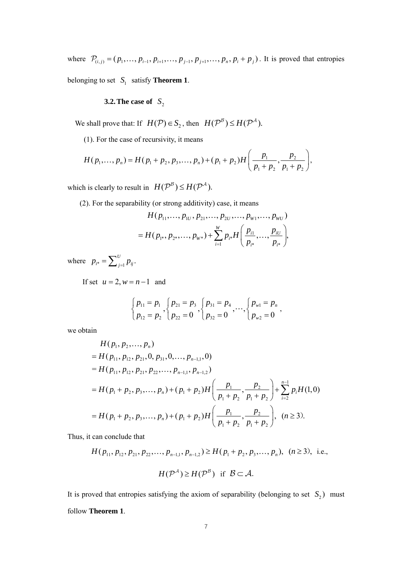where  $P_{(i, j)} = (p_1, \dots, p_{i-1}, p_{i+1}, \dots, p_{j-1}, p_{j+1}, \dots, p_n, p_i + p_j)$ . It is proved that entropies belonging to set  $S_1$  satisfy **Theorem 1**.

**3.2. The case of**  $S_2$ 

We shall prove that: If  $H(\mathcal{P}) \in S_2$ , then  $H(\mathcal{P}^B) \le H(\mathcal{P}^A)$ .

(1). For the case of recursivity, it means

$$
H(p_1,...,p_n) = H(p_1 + p_2, p_3,...,p_n) + (p_1 + p_2)H\left(\frac{p_1}{p_1 + p_2}, \frac{p_2}{p_1 + p_2}\right),
$$

which is clearly to result in  $H(P^{\beta}) \leq H(P^{\mathcal{A}})$ .

(2). For the separability (or strong additivity) case, it means

$$
H(p_{11},...,p_{1U},p_{21},...,p_{2U},...,p_{W1},...,p_{WU})
$$
  
=  $H(p_{1*},p_{2*},...,p_{W*})+\sum_{i=1}^{W}p_{i*}H(\frac{p_{i1}}{p_{i*}},...,\frac{p_{iU}}{p_{i*}})$ 

where  $p_{i^*} = \sum_{j=1}^U p_{ij}$ .

If set  $u = 2$ ,  $w = n - 1$  and

$$
\begin{cases}\np_{11} = p_1 \\
p_{12} = p_2\n\end{cases},\n\begin{cases}\np_{21} = p_3 \\
p_{31} = p_4 \\
p_{32} = 0\n\end{cases},\n\cdots,\n\begin{cases}\np_{w1} = p_n \\
p_{w2} = 0\n\end{cases},
$$

we obtain

$$
H(p_1, p_2, ..., p_n)
$$
  
=  $H(p_{11}, p_{12}, p_{21}, 0, p_{31}, 0, ..., p_{n-1,1}, 0)$   
=  $H(p_{11}, p_{12}, p_{21}, p_{22}, ..., p_{n-1,1}, p_{n-1,2})$   
=  $H(p_1 + p_2, p_3, ..., p_n) + (p_1 + p_2)H\left(\frac{p_1}{p_1 + p_2}, \frac{p_2}{p_1 + p_2}\right) + \sum_{i=2}^{n-1} p_i H(1, 0)$   
=  $H(p_1 + p_2, p_3, ..., p_n) + (p_1 + p_2)H\left(\frac{p_1}{p_1 + p_2}, \frac{p_2}{p_1 + p_2}\right), \quad (n \ge 3).$ 

Thus, it can conclude that

$$
H(p_{11}, p_{12}, p_{21}, p_{22}, \dots, p_{n-1,1}, p_{n-1,2}) \ge H(p_1 + p_2, p_3, \dots, p_n), \ (n \ge 3), \text{ i.e.,}
$$

$$
H(\mathcal{P}^A) \ge H(\mathcal{P}^B) \text{ if } \mathcal{B} \subset \mathcal{A}.
$$

It is proved that entropies satisfying the axiom of separability (belonging to set  $S_2$ ) must follow **Theorem 1**.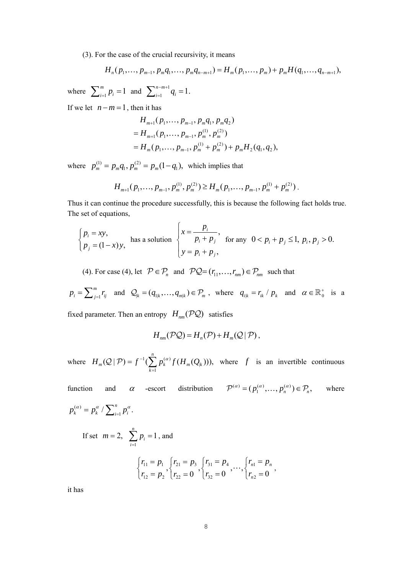(3). For the case of the crucial recursivity, it means

$$
H_{n}(p_{1},...,p_{m-1},p_{m}q_{1},...,p_{m}q_{n-m+1})=H_{m}(p_{1},...,p_{m})+p_{m}H(q_{1},...,q_{n-m+1}),
$$

where  $\sum_{i=1}^{m} p_i = 1$  and  $\sum_{i=1}^{n-m+1}$  $\sum_{i=1}^{n-m+1} q_i = 1$ .

If we let  $n-m=1$ , then it has

$$
H_{m+1}(p_1, \ldots, p_{m-1}, p_m q_1, p_m q_2)
$$
  
=  $H_{m+1}(p_1, \ldots, p_{m-1}, p_m^{(1)}, p_m^{(2)})$   
=  $H_m(p_1, \ldots, p_{m-1}, p_m^{(1)} + p_m^{(2)}) + p_m H_2(q_1, q_2),$ 

where  $p_m^{(1)} = p_m q_1, p_m^{(2)} = p_m (1 - q_1)$ , which implies that

$$
H_{m+1}(p_1,\ldots,p_{m-1},p_m^{(1)},p_m^{(2)}) \geq H_m(p_1,\ldots,p_{m-1},p_m^{(1)}+p_m^{(2)})\,.
$$

Thus it can continue the procedure successfully, this is because the following fact holds true. The set of equations,

$$
\begin{cases} p_i = xy, \\ p_j = (1-x)y, \end{cases}
$$
 has a solution 
$$
\begin{cases} x = \frac{p_i}{p_i + p_j}, \\ y = p_i + p_j, \end{cases}
$$
 for any  $0 < p_i + p_j \le 1, p_i, p_j > 0$ .

(4). For case (4), let  $P \in P_n$  and  $PQ=(r_{11}, \ldots, r_{nm}) \in P_{nm}$  such that

$$
p_i = \sum_{j=1}^m r_{ij} \text{ and } Q_k = (q_{1|k}, \dots, q_{m|k}) \in \mathcal{P}_m, \text{ where } q_{i|k} = r_{ik} / p_k \text{ and } \alpha \in \mathbb{R}_0^+ \text{ is a}
$$

fixed parameter. Then an entropy  $H_{nm}(\mathcal{PQ})$  satisfies

$$
H_{nm}(\mathcal{P}\mathcal{Q})=H_n(\mathcal{P})+H_m(\mathcal{Q}\,|\,\mathcal{P})\,,
$$

where  $H_m(Q | \mathcal{P}) = f^{-1}(\sum p_k^{(\alpha)} f(H_m(Q)))$ 1  $(Q | P) = f^{-1}(\sum p_k^{(\alpha)} f(H_m(Q_k))),$ *n*  $_m(\mathbf{z} \mid r) = j \quad (\sum p_k j \; (\mathbf{u}_m \, \mathbf{v}_k)$ *k*  $H_m(\mathcal{Q} | \mathcal{P}) = f^{-1}(\sum p_k^{(\alpha)} f(H_m Q))$  $(Q | P) = f^{-1}(\sum_{k=1}^{\infty} p_k^{(\alpha)} f(H_m(Q_k)))$ , where f is an invertible continuous

function and  $\alpha$  -escort distribution  $\mathcal{P}^{(\alpha)} = (p_1^{(\alpha)}, \dots, p_n^{(\alpha)}) \in \mathcal{P}_n$ , where  $(\alpha)$  $p_k^{(\alpha)} = p_k^{\alpha} / \sum_{i=1}^n p_i^{\alpha}$ . If set  $m = 2$ , 1 1 *n i i p*  $\sum_{i=1}^{n} p_i = 1$ , and  $11 - P_1$   $1_2 1 - P_3$   $1_3 1 - P_4$   $1_n 1$  $r_{11} = P_1$ ,  $r_{21} = P_3$ ,  $r_{31} = P_4$ ,  $\cdots$ ,  $r_{n1} = P_n$ <br>  $r_{n2} = P_2$ ,  $r_{n2} = 0$ ,  $r_{n3} = 0$ ,  $\cdots$ ,  $r_{n1} = r_n$ *n*  $r_{11} = p_1$   $r_{21} = p_3$   $r_{31} = p_4$   $r_{n1} = p_5$  $\begin{cases} r_{11} = p_1 \\ r_{12} = p_2 \end{cases}, \begin{cases} r_{21} = p_3 \\ r_{22} = 0 \end{cases}, \begin{cases} r_{31} = p_4 \\ r_{32} = 0 \end{cases}, \dots, \begin{cases} r_{n1} = p_n \\ r_{n2} = 0 \end{cases},$ 

it has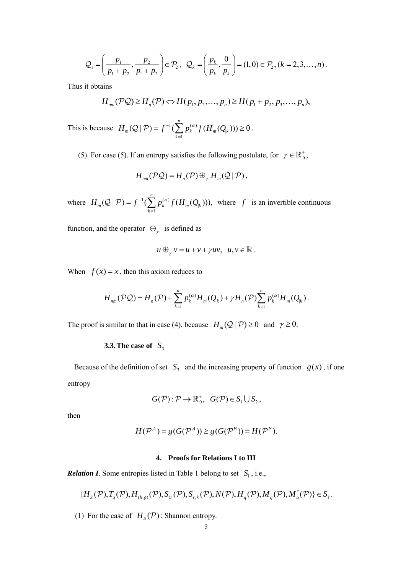$$
Q_{\parallel} = \left(\frac{p_1}{p_1 + p_2}, \frac{p_2}{p_1 + p_2}\right) \in \mathcal{P}_2, \ \ Q_k = \left(\frac{p_k}{p_k}, \frac{0}{p_k}\right) = (1, 0) \in \mathcal{P}_2, (k = 2, 3, ..., n).
$$

Thus it obtains

$$
H_{nm}(\mathcal{PQ})\geq H_n(\mathcal{P})\Leftrightarrow H(p_1,p_2,\ldots,p_n)\geq H(p_1+p_2,p_3,\ldots,p_n),
$$

This is because  $H_m(Q | \mathcal{P}) = f^{-1}(\sum p_k^{(\alpha)} f(H_m(Q)))$ 1  $(Q | \mathcal{P}) = f^{-1}(\sum p_k^{(\alpha)} f(H_m(Q_k))) \geq 0$ *n*  $m(\mathbf{z} \mid r) = J \quad (\sum P_k \quad J \quad (H_m(\mathbf{z})_k)$ *k*  $H_m(\mathcal{Q} | \mathcal{P}) = f^{-1}(\sum p_k^{(\alpha)} f(H_m Q))$  $(Q | P) = f^{-1}(\sum_{k=1}^{\infty} p_k^{(\alpha)} f(H_m(Q_k))) \ge 0.$ 

(5). For case (5). If an entropy satisfies the following postulate, for  $\gamma \in \mathbb{R}_0^+$ ,

$$
H_{nm}(\mathcal{P}\mathcal{Q})=H_n(\mathcal{P})\oplus_{\gamma}H_m(\mathcal{Q}\,|\,\mathcal{P}),
$$

where  $H_m(\mathcal{Q} | \mathcal{P}) = f^{-1}(\sum p_k^{(\alpha)} f(H_m Q))$ 1  $(Q | P) = f^{-1}(\sum p_k^{(\alpha)} f(H_m(Q_k))),$ *n*  $_m(\mathbf{z} \mid r) = j \quad (\sum P_k \cup (H_m(\mathbf{z}_{k}))$ *k*  $H_m(\mathcal{Q} | \mathcal{P}) = f^{-1}(\sum p_k^{(\alpha)} f(H_m(Q$  $Q(\mathcal{P}) = f^{-1}(\sum_{k=1}^{\infty} p_k^{(\alpha)} f(H_m(Q_k)))$ , where f is an invertible continuous

function, and the operator  $\Theta_{\gamma}$  is defined as

$$
u\oplus_{\gamma} v = u + v + \gamma uv, \ \ u, v \in \mathbb{R} .
$$

When  $f(x) = x$ , then this axiom reduces to

$$
H_{nm}(\mathcal{PQ}) = H_n(\mathcal{P}) + \sum_{k=1}^n p_k^{(\alpha)} H_m(Q_k) + \gamma H_n(\mathcal{P}) \sum_{k=1}^n p_k^{(\alpha)} H_m(Q_k).
$$

The proof is similar to that in case (4), because  $H_m(Q | \mathcal{P}) \ge 0$  and  $\gamma \ge 0$ .

## **3.3. The case of**  $S_3$

Because of the definition of set  $S_3$  and the increasing property of function  $g(x)$ , if one entropy

$$
G(\mathcal{P}) : \mathcal{P} \to \mathbb{R}_0^+, \quad G(\mathcal{P}) \in S_1 \cup S_2,
$$

then

$$
H(\mathcal{P}^{\mathcal{A}}) = g(G(\mathcal{P}^{\mathcal{A}})) \ge g(G(\mathcal{P}^{\mathcal{B}})) = H(\mathcal{P}^{\mathcal{B}}).
$$

## **4. Proofs for Relations I to III**

*Relation I*. Some entropies listed in Table 1 belong to set  $S_1$ , i.e.,

$$
\{H_{S}(\mathcal{P}),T_{q}(\mathcal{P}),H_{(h,\phi)}(\mathcal{P}),S_{U}(\mathcal{P}),S_{r,k}(\mathcal{P}),N(\mathcal{P}),H_{q}(\mathcal{P}),M_{q}(\mathcal{P}),M_{q}^{*}(\mathcal{P})\}\in S_{1}.
$$

(1) For the case of  $H_S(\mathcal{P})$ : Shannon entropy.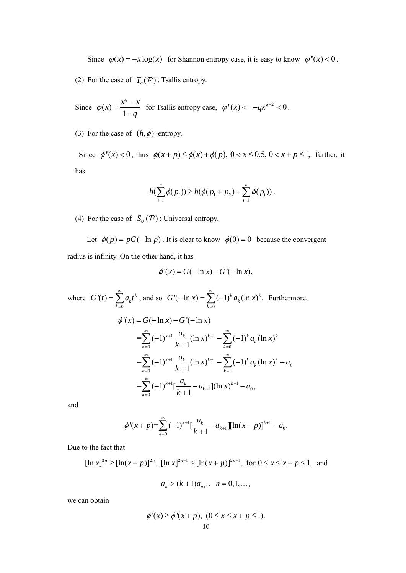Since  $\varphi(x) = -x \log(x)$  for Shannon entropy case, it is easy to know  $\varphi''(x) < 0$ .

(2) For the case of  $T_q(\mathcal{P})$ : Tsallis entropy.

Since 
$$
\varphi(x) = \frac{x^q - x}{1 - q}
$$
 for Tsallis entropy case,  $\varphi''(x) \le -qx^{q-2} < 0$ .

(3) For the case of  $(h, \phi)$  -entropy.

Since  $\phi''(x) < 0$ , thus  $\phi(x+p) \leq \phi(x)+\phi(p)$ ,  $0 < x \leq 0.5$ ,  $0 < x+p \leq 1$ , further, it has

$$
h(\sum_{i=1}^n \phi(p_i)) \ge h(\phi(p_1 + p_2) + \sum_{i=3}^n \phi(p_i)).
$$

(4) For the case of  $S_U(\mathcal{P})$ : Universal entropy.

Let  $\phi(p) = pG(-\ln p)$ . It is clear to know  $\phi(0) = 0$  because the convergent radius is infinity. On the other hand, it has

$$
\phi'(x) = G(-\ln x) - G'(-\ln x),
$$

where 0  $f(t) = \sum a_k t^k$ *k*  $G'(t) = \sum a_k t$  $\infty$  $=\sum_{k=0} a_k t^k$ , and so  $G'(-\ln x) = \sum_{k=0}$  $A'(-\ln x) = \sum_{k=1}^{\infty} (-1)^{k} a_{k} (\ln x)^{k}$ . *k*  $G'(-\ln x) = \sum (-1)^k a_k (\ln x)$  $\infty$  $-\ln x$ ) =  $\sum_{k=0} (-1)^k a_k (\ln x)^k$ . Furthermore,  $1 - u_k$   $(1 - u)^{k+1}$  $=\sum_{k=0}^{\infty} (-1)^{k+1} \frac{a_k}{k+1} (\ln x)^{k+1} - \sum_{k=0}^{\infty} (-1)^k a_k (\ln x)^k$ <sup>1</sup>  $u_k$  (ln  $x^{\lambda^{k+1}}$ 0  $=\sum_{k=0}^{\infty} (-1)^{k+1} \frac{a_k}{k+1} (\ln x)^{k+1} - \sum_{k=1}^{\infty} (-1)^k a_k (\ln x)^k$  $1 - u_k$   $1/n \, x^{\lambda+1}$  $1 \, \mu m \lambda$ )  $u_0$  $=\sum_{k=0}^{\infty}(-1)^{k+1}\left[\frac{a_k}{k+1}-a_{k+1}\right](\ln x)^{k+1}-a_0,$  $\phi'(x) = G(-\ln x) - G'(-\ln x)$  $k=0$   $\kappa + 1$   $k=1$  $k=0$   $\kappa + 1$   $k=1$ *k*  $\frac{a_k}{a_k}$  (ln x)<sup>k+1</sup> –  $\sum_{k=0}^{\infty}$  (-1)<sup>k</sup>  $a_k$  (ln x) *k*  $\frac{a_k}{a_k}$  (ln x)<sup>k+1</sup> –  $\sum_{k=0}^{\infty}$  (-1)<sup>k</sup>  $a_k$  (ln x)<sup>k</sup> – a *k*  $\frac{a_k}{a_k} - a_{k+1}$   $\left[ (\ln x)^{k+1} - a \right]$ *k*  $\sum_{k=1}^{\infty}$  (1)  $k+1$   $a_k$  (1pm) $k+1$   $\sum_{k=1}^{\infty}$  $\sum_{k=0}^{\infty} (-1)^{k+1} \frac{a_k}{k+1} (\ln x)^{k+1} - \sum_{k=0}^{\infty} (-1)^k$  $\sum_{k=1}^{\infty}$  (1)  $k+1$   $q_k$  (1)  $n$  ) $k+1$   $\sum_{k=1}^{\infty}$  $\sum_{k=0}^{\infty} (-1)^{k+1} \frac{a_k}{k+1} (\ln x)^{k+1} - \sum_{k=1}^{\infty} (-1)^k a_k (\ln x)^k$  $\sum_{k=1}^{\infty}$  (1)  $k+1$   $\int_{k}^{k} a_k$  (1)  $\int_{k}^{k+1} a_k$  (1)  $\int_{k}^{k+1} a_k$  $^{+}$  $\sum_{k=0}^{\infty}(-1)^{k+1}\left[\frac{a_k}{k+1}-a_{k+1}\right](\ln x)^{k+1}-$ 

and

$$
\phi'(x+p) = \sum_{k=0}^{\infty} (-1)^{k+1} \left[ \frac{a_k}{k+1} - a_{k+1} \right] \left[ \ln(x+p) \right]^{k+1} - a_0.
$$

Due to the fact that

$$
[\ln x]^{2n} \ge [\ln(x+p)]^{2n}, [\ln x]^{2n-1} \le [\ln(x+p)]^{2n-1}, \text{ for } 0 \le x \le x+p \le 1, \text{ and}
$$

$$
a_n > (k+1)a_{n+1}, \ \ n = 0, 1, \dots,
$$

we can obtain

$$
\phi'(x) \ge \phi'(x+p), \quad (0 \le x \le x+p \le 1).
$$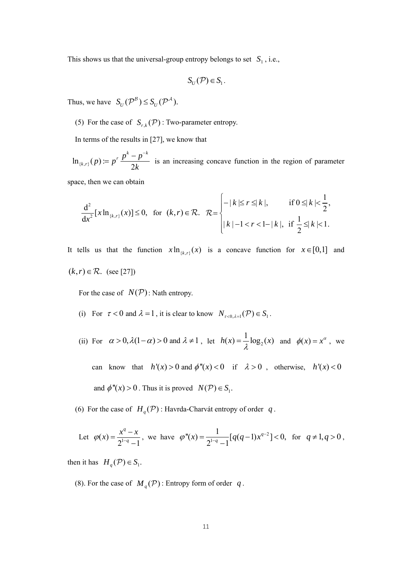This shows us that the universal-group entropy belongs to set  $S_1$ , i.e.,

$$
S_U(\mathcal{P}) \in S_1.
$$

Thus, we have  $S_U(\mathcal{P}^B) \leq S_U(\mathcal{P}^A)$ .

(5) For the case of  $S_{r,k}(\mathcal{P})$ : Two-parameter entropy.

In terms of the results in [27], we know that

 $\ln_{\{k,r\}}(p) = p^r \frac{P}{2}$ *r*  $p^{k} - p^{-k}$  $h_{k,r}$  (*p*)  $:= p^r \frac{p^k - p^{-k}}{2k}$  is an increasing concave function in the region of parameter

space, then we can obtain

$$
\frac{d^2}{dx^2}[x\ln_{\{k,r\}}(x)] \le 0, \text{ for } (k,r) \in \mathcal{R}. \quad \mathcal{R} = \begin{cases} -|k| \le r \le |k|, & \text{if } 0 \le |k| < \frac{1}{2}, \\ |k| - 1 < r < 1 - |k|, \text{ if } \frac{1}{2} \le |k| < 1. \end{cases}
$$

It tells us that the function  $x \ln_{\{k, r\}}(x)$  is a concave function for  $x \in [0,1]$  and  $(k, r) \in \mathcal{R}$ . (see [27])

For the case of  $N(P)$ : Nath entropy.

- (i) For  $\tau < 0$  and  $\lambda = 1$ , it is clear to know  $N_{\tau < 0, \lambda = 1}(\mathcal{P}) \in S_1$ .
- (ii) For  $\alpha > 0, \lambda(1-\alpha) > 0$  and  $\lambda \neq 1$ , let  $h(x) = \frac{1}{\lambda} \log_2(x)$  and  $\phi(x) = x^{\alpha}$ , we

can know that  $h'(x) > 0$  and  $\phi''(x) < 0$  if  $\lambda > 0$ , otherwise,  $h'(x) < 0$ and  $\phi''(x) > 0$ . Thus it is proved  $N(\mathcal{P}) \in S_1$ .

(6) For the case of  $H_q(\mathcal{P})$ : Havrda-Charvát entropy of order *q*.

Let 
$$
\varphi(x) = \frac{x^q - x}{2^{1-q} - 1}
$$
, we have  $\varphi''(x) = \frac{1}{2^{1-q} - 1} [q(q-1)x^{q-2}] < 0$ , for  $q \neq 1, q > 0$ ,

then it has  $H_q(\mathcal{P}) \in S_1$ .

(8). For the case of  $M_q(\mathcal{P})$ : Entropy form of order *q*.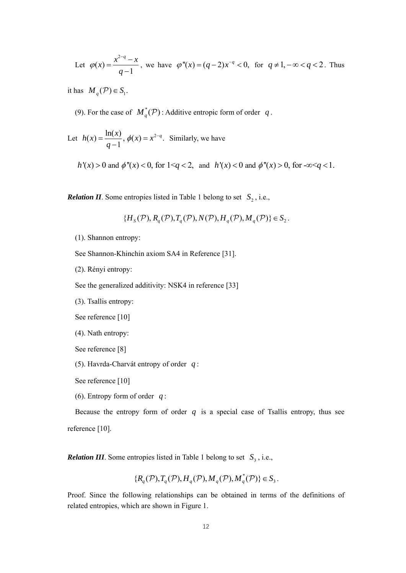Let 
$$
\varphi(x) = \frac{x^{2-q} - x}{q-1}
$$
, we have  $\varphi''(x) = (q-2)x^{-q} < 0$ , for  $q \ne 1, -\infty < q < 2$ . Thus

it has  $M_q(\mathcal{P}) \in S_1$ .

(9). For the case of  $M_q^*(P)$ : Additive entropic form of order q.

Let 
$$
h(x) = \frac{\ln(x)}{q-1}
$$
,  $\phi(x) = x^{2-q}$ . Similarly, we have

 $h'(x) > 0$  and  $\phi''(x) < 0$ , for  $1 \le q < 2$ , and  $h'(x) < 0$  and  $\phi''(x) > 0$ , for  $-\infty \le q < 1$ .

*Relation II*. Some entropies listed in Table 1 belong to set  $S_2$ , i.e.,

$$
\{H_s(\mathcal{P}), R_q(\mathcal{P}), T_q(\mathcal{P}), N(\mathcal{P}), H_q(\mathcal{P}), M_q(\mathcal{P})\} \in S_2.
$$

(1). Shannon entropy:

See Shannon-Khinchin axiom SA4 in Reference [31].

(2). Rényi entropy:

See the generalized additivity: NSK4 in reference [33]

(3). Tsallis entropy:

See reference [10]

```
 (4). Nath entropy:
```
See reference [8]

(5). Havrda-Charvát entropy of order *q* :

See reference [10]

(6). Entropy form of order *q* :

Because the entropy form of order  $q$  is a special case of Tsallis entropy, thus see reference [10].

*Relation III*. Some entropies listed in Table 1 belong to set  $S_3$ , i.e.,

$$
\{R_q(\mathcal{P}), T_q(\mathcal{P}), H_q(\mathcal{P}), M_q(\mathcal{P}), M_q^*(\mathcal{P})\} \in S_3.
$$

Proof. Since the following relationships can be obtained in terms of the definitions of related entropies, which are shown in Figure 1.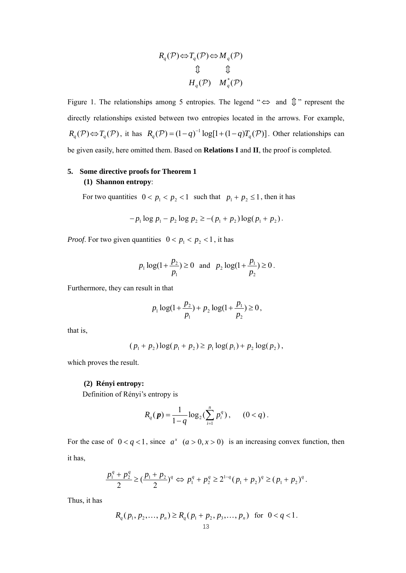$$
R_q(\mathcal{P}) \Leftrightarrow T_q(\mathcal{P}) \Leftrightarrow M_q(\mathcal{P})
$$
  

$$
\updownarrow \qquad \qquad \updownarrow
$$
  

$$
H_q(\mathcal{P}) \qquad M_q^*(\mathcal{P})
$$

Figure 1. The relationships among 5 entropies. The legend " $\Leftrightarrow$  and  $\hat{\psi}$ " represent the directly relationships existed between two entropies located in the arrows. For example,  $R_q(\mathcal{P}) \Leftrightarrow T_q(\mathcal{P})$ , it has  $R_q(\mathcal{P}) = (1 - q)^{-1} \log[1 + (1 - q)T_q(\mathcal{P})]$ . Other relationships can be given easily, here omitted them. Based on **Relations I** and **II**, the proof is completed.

# **5. Some directive proofs for Theorem 1 (1) Shannon entropy**:

For two quantities  $0 < p_1 < p_2 < 1$  such that  $p_1 + p_2 \le 1$ , then it has

$$
-p_1 \log p_1 - p_2 \log p_2 \ge -(p_1 + p_2) \log (p_1 + p_2).
$$

*Proof.* For two given quantities  $0 < p_1 < p_2 < 1$ , it has

$$
p_1 \log(1 + \frac{p_2}{p_1}) \ge 0
$$
 and  $p_2 \log(1 + \frac{p_1}{p_2}) \ge 0$ .

Furthermore, they can result in that

$$
p_1 \log(1 + \frac{p_2}{p_1}) + p_2 \log(1 + \frac{p_1}{p_2}) \ge 0,
$$

that is,

$$
(p_1 + p_2) \log(p_1 + p_2) \ge p_1 \log(p_1) + p_2 \log(p_2),
$$

which proves the result.

#### **(2) Rényi entropy:**

Definition of Rényi's entropy is

$$
R_q(\mathbf{p}) = \frac{1}{1-q} \log_2(\sum_{i=1}^n p_i^q), \quad (0 < q).
$$

For the case of  $0 < q < 1$ , since  $a^x$   $(a > 0, x > 0)$  is an increasing convex function, then it has,

$$
\frac{p_1^q + p_2^q}{2} \geq \left(\frac{p_1 + p_2}{2}\right)^q \Leftrightarrow p_1^q + p_2^q \geq 2^{1-q} (p_1 + p_2)^q \geq (p_1 + p_2)^q.
$$

Thus, it has

$$
R_q(p_1, p_2, \dots, p_n) \ge R_q(p_1 + p_2, p_3, \dots, p_n) \text{ for } 0 < q < 1.
$$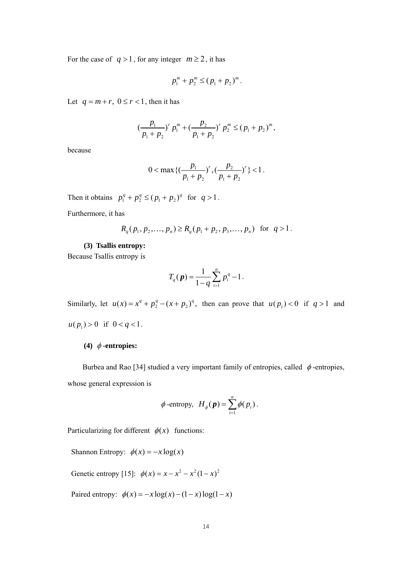For the case of  $q > 1$ , for any integer  $m \ge 2$ , it has

$$
p_1^m + p_2^m \le (p_1 + p_2)^m.
$$

Let  $q = m + r$ ,  $0 \le r < 1$ , then it has

$$
\left(\frac{p_1}{p_1+p_2}\right)^r p_1^m + \left(\frac{p_2}{p_1+p_2}\right)^r p_2^m \le (p_1+p_2)^m,
$$

because

$$
0<\max\left\{(\frac{p_1}{p_1+p_2})^r,(\frac{p_2}{p_1+p_2})^r\right\}<1.
$$

Then it obtains  $p_1^q + p_2^q \le (p_1 + p_2)^q$  for  $q > 1$ .

Furthermore, it has

$$
R_q(p_1, p_2,..., p_n) \ge R_q(p_1 + p_2, p_3,..., p_n)
$$
 for  $q > 1$ .

## **(3) Tsallis entropy:**

Because Tsallis entropy is

$$
T_q(\mathbf{p}) = \frac{1}{1-q} \sum_{i=1}^n p_i^q - 1.
$$

Similarly, let  $u(x) = x^q + p_2^q - (x + p_2)^q$ , then can prove that  $u(p_1) < 0$  if  $q > 1$  and  $u(p_1) > 0$  if  $0 < q < 1$ .

## (4)  $\phi$ -entropies:

Burbea and Rao [34] studied a very important family of entropies, called  $\phi$ -entropies, whose general expression is

$$
\phi
$$
-entropy,  $H_{\phi}(\mathbf{p}) = \sum_{i=1}^{n} \phi(p_i)$ .

Particularizing for different  $\phi(x)$  functions:

Shannon Entropy:  $\phi(x) = -x \log(x)$ 

Genetic entropy [15]:  $\phi(x) = x - x^2 - x^2 (1 - x)^2$ 

Paired entropy:  $\phi(x) = -x \log(x) - (1 - x) \log(1 - x)$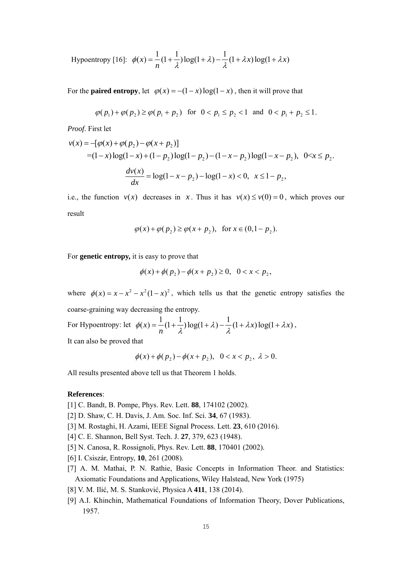Hypoentropy [16]: 
$$
\phi(x) = \frac{1}{n} (1 + \frac{1}{\lambda}) \log(1 + \lambda) - \frac{1}{\lambda} (1 + \lambda x) \log(1 + \lambda x)
$$

For the **paired entropy**, let  $\varphi(x) = -(1-x) \log(1-x)$ , then it will prove that

$$
\varphi(p_1) + \varphi(p_2) \ge \varphi(p_1 + p_2)
$$
 for  $0 < p_1 \le p_2 < 1$  and  $0 < p_1 + p_2 \le 1$ .

*Proof*. First let

$$
v(x) = -[\varphi(x) + \varphi(p_2) - \varphi(x + p_2)]
$$
  
= (1-x)log(1-x) + (1-p\_2)log(1-p\_2) - (1-x-p\_2)log(1-x-p\_2), 0 < x \le p\_2.  

$$
\frac{dv(x)}{dx} = log(1-x-p_2) - log(1-x) < 0, \quad x \le 1-p_2,
$$

i.e., the function  $v(x)$  decreases in *x*. Thus it has  $v(x) \le v(0) = 0$ , which proves our result

$$
\varphi(x) + \varphi(p_2) \ge \varphi(x + p_2)
$$
, for  $x \in (0, 1 - p_2)$ .

For **genetic entropy,** it is easy to prove that

$$
\phi(x) + \phi(p_2) - \phi(x + p_2) \ge 0, \quad 0 < x < p_2,
$$

where  $\phi(x) = x - x^2 - x^2(1 - x)^2$ , which tells us that the genetic entropy satisfies the coarse-graining way decreasing the entropy. For Hypoentropy: let  $\phi(x) = \frac{1}{1} (1 + \frac{1}{x}) \log(1 + \lambda) - \frac{1}{x} (1 + \lambda x) \log(1 + \lambda x)$ *n*  $\phi(x) = \frac{1}{n}(1+\frac{1}{\lambda})\log(1+\lambda) - \frac{1}{\lambda}(1+\lambda x)\log(1+\lambda x),$ 

It can also be proved that

 $\phi(x) + \phi(p_2) - \phi(x+p_2), \quad 0 < x < p_2, \ \lambda > 0.$ 

All results presented above tell us that Theorem 1 holds.

#### **References**:

- [1] C. Bandt, B. Pompe, Phys. Rev. Lett. **88**, 174102 (2002).
- [2] D. Shaw, C. H. Davis, J. Am. Soc. Inf. Sci. **34**, 67 (1983).
- [3] M. Rostaghi, H. Azami, IEEE Signal Process. Lett. **23**, 610 (2016).
- [4] C. E. Shannon, Bell Syst. Tech. J. **27**, 379, 623 (1948).
- [5] N. Canosa, R. Rossignoli, Phys. Rev. Lett. **88**, 170401 (2002).
- [6] I. Csiszár, Entropy, **10**, 261 (2008).
- [7] A. M. Mathai, P. N. Rathie, Basic Concepts in Information Theor. and Statistics: Axiomatic Foundations and Applications, Wiley Halstead, New York (1975)
- [8] V. M. Ilić, M. S. Stanković, Physica A **411**, 138 (2014).
- [9] A.I. Khinchin, Mathematical Foundations of Information Theory, Dover Publications, 1957.